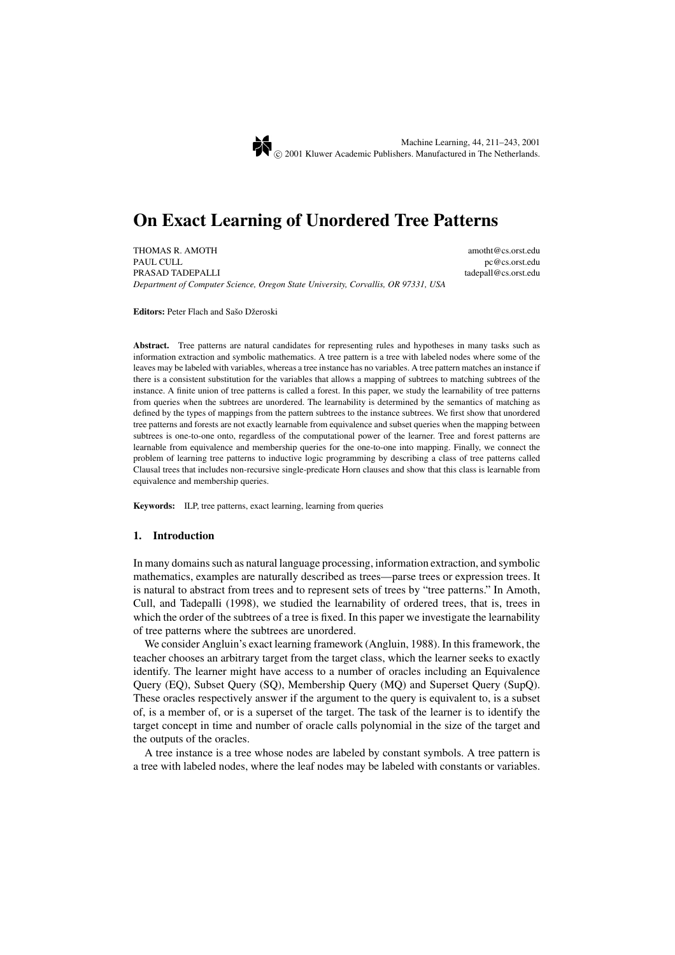# **On Exact Learning of Unordered Tree Patterns**

THOMAS R. AMOTH amotht@cs.orst.edu PAUL CULL pc@cs.orst.edu PRASAD TADEPALLI tadepall@cs.orst.edu *Department of Computer Science, Oregon State University, Corvallis, OR 97331, USA*

**Editors:** Peter Flach and Sašo Džeroski

**Abstract.** Tree patterns are natural candidates for representing rules and hypotheses in many tasks such as information extraction and symbolic mathematics. A tree pattern is a tree with labeled nodes where some of the leaves may be labeled with variables, whereas a tree instance has no variables. A tree pattern matches an instance if there is a consistent substitution for the variables that allows a mapping of subtrees to matching subtrees of the instance. A finite union of tree patterns is called a forest. In this paper, we study the learnability of tree patterns from queries when the subtrees are unordered. The learnability is determined by the semantics of matching as defined by the types of mappings from the pattern subtrees to the instance subtrees. We first show that unordered tree patterns and forests are not exactly learnable from equivalence and subset queries when the mapping between subtrees is one-to-one onto, regardless of the computational power of the learner. Tree and forest patterns are learnable from equivalence and membership queries for the one-to-one into mapping. Finally, we connect the problem of learning tree patterns to inductive logic programming by describing a class of tree patterns called Clausal trees that includes non-recursive single-predicate Horn clauses and show that this class is learnable from equivalence and membership queries.

**Keywords:** ILP, tree patterns, exact learning, learning from queries

#### **1. Introduction**

In many domains such as natural language processing, information extraction, and symbolic mathematics, examples are naturally described as trees—parse trees or expression trees. It is natural to abstract from trees and to represent sets of trees by "tree patterns." In Amoth, Cull, and Tadepalli (1998), we studied the learnability of ordered trees, that is, trees in which the order of the subtrees of a tree is fixed. In this paper we investigate the learnability of tree patterns where the subtrees are unordered.

We consider Angluin's exact learning framework (Angluin, 1988). In this framework, the teacher chooses an arbitrary target from the target class, which the learner seeks to exactly identify. The learner might have access to a number of oracles including an Equivalence Query (EQ), Subset Query (SQ), Membership Query (MQ) and Superset Query (SupQ). These oracles respectively answer if the argument to the query is equivalent to, is a subset of, is a member of, or is a superset of the target. The task of the learner is to identify the target concept in time and number of oracle calls polynomial in the size of the target and the outputs of the oracles.

A tree instance is a tree whose nodes are labeled by constant symbols. A tree pattern is a tree with labeled nodes, where the leaf nodes may be labeled with constants or variables.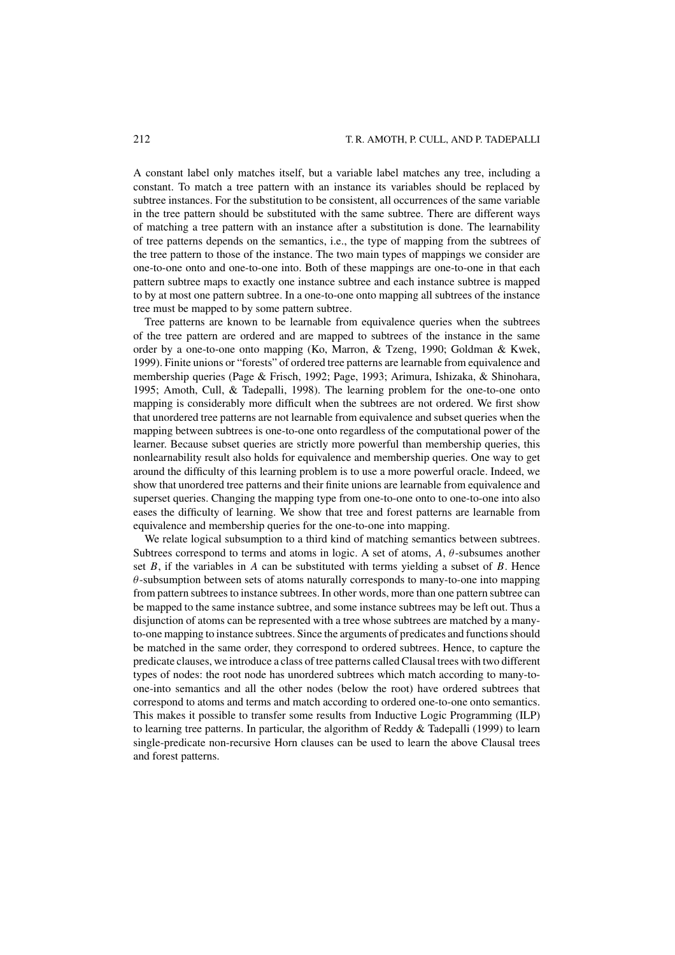A constant label only matches itself, but a variable label matches any tree, including a constant. To match a tree pattern with an instance its variables should be replaced by subtree instances. For the substitution to be consistent, all occurrences of the same variable in the tree pattern should be substituted with the same subtree. There are different ways of matching a tree pattern with an instance after a substitution is done. The learnability of tree patterns depends on the semantics, i.e., the type of mapping from the subtrees of the tree pattern to those of the instance. The two main types of mappings we consider are one-to-one onto and one-to-one into. Both of these mappings are one-to-one in that each pattern subtree maps to exactly one instance subtree and each instance subtree is mapped to by at most one pattern subtree. In a one-to-one onto mapping all subtrees of the instance tree must be mapped to by some pattern subtree.

Tree patterns are known to be learnable from equivalence queries when the subtrees of the tree pattern are ordered and are mapped to subtrees of the instance in the same order by a one-to-one onto mapping (Ko, Marron, & Tzeng, 1990; Goldman & Kwek, 1999). Finite unions or "forests" of ordered tree patterns are learnable from equivalence and membership queries (Page & Frisch, 1992; Page, 1993; Arimura, Ishizaka, & Shinohara, 1995; Amoth, Cull, & Tadepalli, 1998). The learning problem for the one-to-one onto mapping is considerably more difficult when the subtrees are not ordered. We first show that unordered tree patterns are not learnable from equivalence and subset queries when the mapping between subtrees is one-to-one onto regardless of the computational power of the learner. Because subset queries are strictly more powerful than membership queries, this nonlearnability result also holds for equivalence and membership queries. One way to get around the difficulty of this learning problem is to use a more powerful oracle. Indeed, we show that unordered tree patterns and their finite unions are learnable from equivalence and superset queries. Changing the mapping type from one-to-one onto to one-to-one into also eases the difficulty of learning. We show that tree and forest patterns are learnable from equivalence and membership queries for the one-to-one into mapping.

We relate logical subsumption to a third kind of matching semantics between subtrees. Subtrees correspond to terms and atoms in logic. A set of atoms,  $A$ ,  $\theta$ -subsumes another set *B*, if the variables in *A* can be substituted with terms yielding a subset of *B*. Hence  $\theta$ -subsumption between sets of atoms naturally corresponds to many-to-one into mapping from pattern subtrees to instance subtrees. In other words, more than one pattern subtree can be mapped to the same instance subtree, and some instance subtrees may be left out. Thus a disjunction of atoms can be represented with a tree whose subtrees are matched by a manyto-one mapping to instance subtrees. Since the arguments of predicates and functions should be matched in the same order, they correspond to ordered subtrees. Hence, to capture the predicate clauses, we introduce a class of tree patterns called Clausal trees with two different types of nodes: the root node has unordered subtrees which match according to many-toone-into semantics and all the other nodes (below the root) have ordered subtrees that correspond to atoms and terms and match according to ordered one-to-one onto semantics. This makes it possible to transfer some results from Inductive Logic Programming (ILP) to learning tree patterns. In particular, the algorithm of Reddy & Tadepalli (1999) to learn single-predicate non-recursive Horn clauses can be used to learn the above Clausal trees and forest patterns.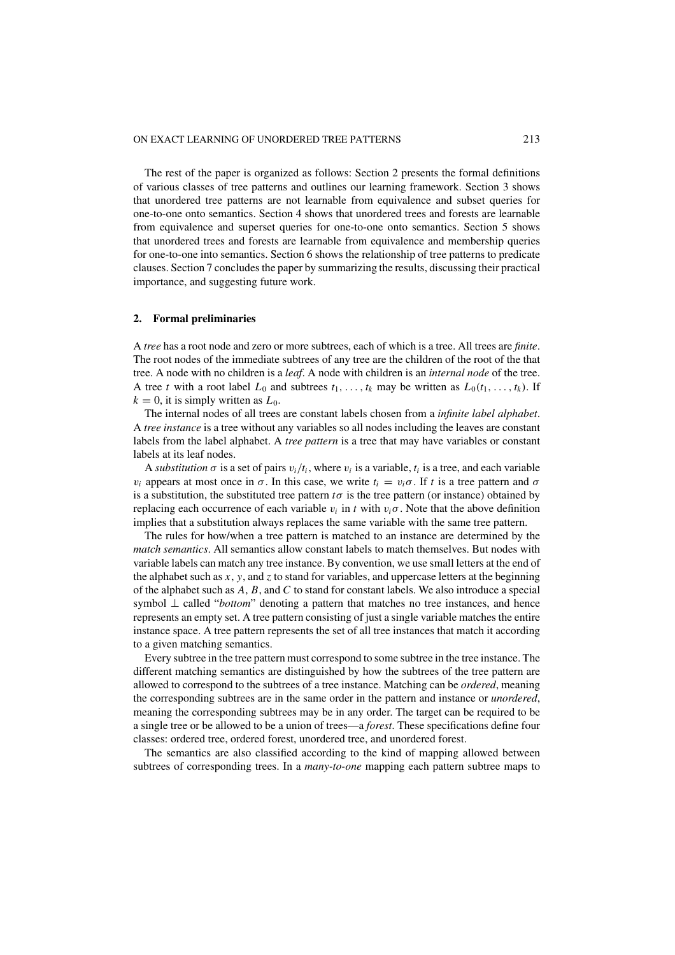The rest of the paper is organized as follows: Section 2 presents the formal definitions of various classes of tree patterns and outlines our learning framework. Section 3 shows that unordered tree patterns are not learnable from equivalence and subset queries for one-to-one onto semantics. Section 4 shows that unordered trees and forests are learnable from equivalence and superset queries for one-to-one onto semantics. Section 5 shows that unordered trees and forests are learnable from equivalence and membership queries for one-to-one into semantics. Section 6 shows the relationship of tree patterns to predicate clauses. Section 7 concludes the paper by summarizing the results, discussing their practical importance, and suggesting future work.

# **2. Formal preliminaries**

A *tree* has a root node and zero or more subtrees, each of which is a tree. All trees are *finite*. The root nodes of the immediate subtrees of any tree are the children of the root of the that tree. A node with no children is a *leaf*. A node with children is an *internal node* of the tree. A tree *t* with a root label  $L_0$  and subtrees  $t_1, \ldots, t_k$  may be written as  $L_0(t_1, \ldots, t_k)$ . If  $k = 0$ , it is simply written as  $L_0$ .

The internal nodes of all trees are constant labels chosen from a *infinite label alphabet*. A *tree instance* is a tree without any variables so all nodes including the leaves are constant labels from the label alphabet. A *tree pattern* is a tree that may have variables or constant labels at its leaf nodes.

A *substitution*  $\sigma$  is a set of pairs  $v_i/t_i$ , where  $v_i$  is a variable,  $t_i$  is a tree, and each variable  $v_i$  appears at most once in  $\sigma$ . In this case, we write  $t_i = v_i \sigma$ . If t is a tree pattern and  $\sigma$ is a substitution, the substituted tree pattern  $t\sigma$  is the tree pattern (or instance) obtained by replacing each occurrence of each variable  $v_i$  in *t* with  $v_i \sigma$ . Note that the above definition implies that a substitution always replaces the same variable with the same tree pattern.

The rules for how/when a tree pattern is matched to an instance are determined by the *match semantics*. All semantics allow constant labels to match themselves. But nodes with variable labels can match any tree instance. By convention, we use small letters at the end of the alphabet such as  $x$ ,  $y$ , and  $z$  to stand for variables, and uppercase letters at the beginning of the alphabet such as *A*, *B*, and *C* to stand for constant labels. We also introduce a special symbol ⊥ called "*bottom*" denoting a pattern that matches no tree instances, and hence represents an empty set. A tree pattern consisting of just a single variable matches the entire instance space. A tree pattern represents the set of all tree instances that match it according to a given matching semantics.

Every subtree in the tree pattern must correspond to some subtree in the tree instance. The different matching semantics are distinguished by how the subtrees of the tree pattern are allowed to correspond to the subtrees of a tree instance. Matching can be *ordered*, meaning the corresponding subtrees are in the same order in the pattern and instance or *unordered*, meaning the corresponding subtrees may be in any order. The target can be required to be a single tree or be allowed to be a union of trees—a *forest*. These specifications define four classes: ordered tree, ordered forest, unordered tree, and unordered forest.

The semantics are also classified according to the kind of mapping allowed between subtrees of corresponding trees. In a *many-to-one* mapping each pattern subtree maps to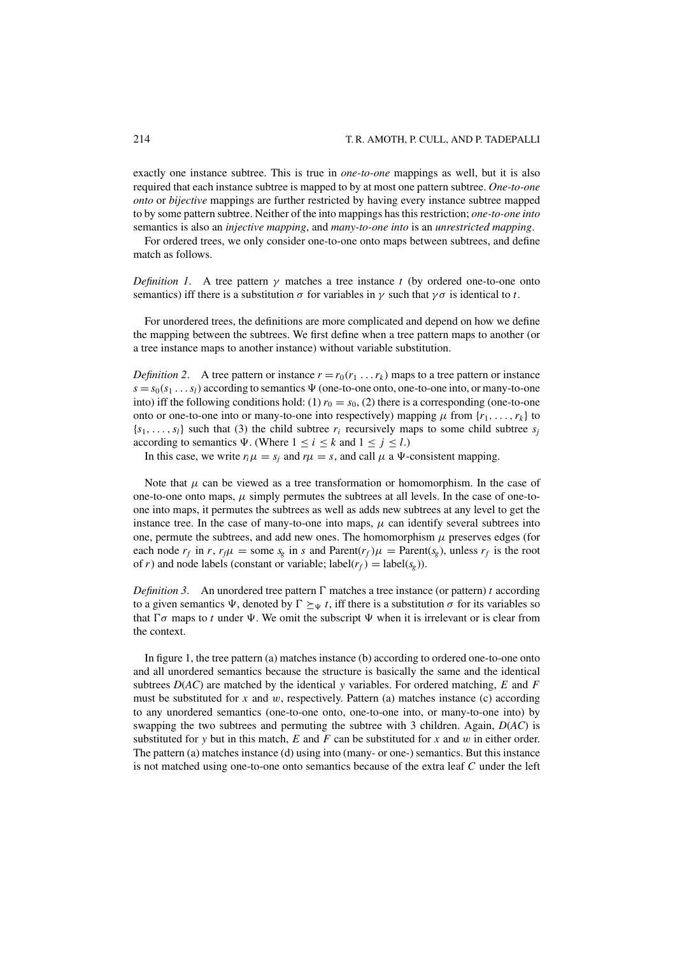exactly one instance subtree. This is true in *one-to-one* mappings as well, but it is also required that each instance subtree is mapped to by at most one pattern subtree. *One-to-one onto* or *bijective* mappings are further restricted by having every instance subtree mapped to by some pattern subtree. Neither of the into mappings has this restriction; *one-to-one into* semantics is also an *injective mapping*, and *many-to-one into* is an *unrestricted mapping*.

For ordered trees, we only consider one-to-one onto maps between subtrees, and define match as follows.

*Definition 1.* A tree pattern  $\gamma$  matches a tree instance *t* (by ordered one-to-one onto semantics) iff there is a substitution  $\sigma$  for variables in  $\gamma$  such that  $\gamma \sigma$  is identical to *t*.

For unordered trees, the definitions are more complicated and depend on how we define the mapping between the subtrees. We first define when a tree pattern maps to another (or a tree instance maps to another instance) without variable substitution.

*Definition 2.* A tree pattern or instance  $r = r_0(r_1 \dots r_k)$  maps to a tree pattern or instance  $s = s_0(s_1 \ldots s_l)$  according to semantics  $\Psi$  (one-to-one onto, one-to-one into, or many-to-one into) iff the following conditions hold: (1)  $r_0 = s_0$ , (2) there is a corresponding (one-to-one onto or one-to-one into or many-to-one into respectively) mapping  $\mu$  from  $\{r_1, \ldots, r_k\}$  to  $\{s_1, \ldots, s_l\}$  such that (3) the child subtree  $r_i$  recursively maps to some child subtree  $s_i$ according to semantics  $\Psi$ . (Where  $1 \le i \le k$  and  $1 \le j \le l$ .)

In this case, we write  $r_i \mu = s_i$  and  $r\mu = s$ , and call  $\mu$  a  $\Psi$ -consistent mapping.

Note that  $\mu$  can be viewed as a tree transformation or homomorphism. In the case of one-to-one onto maps,  $\mu$  simply permutes the subtrees at all levels. In the case of one-toone into maps, it permutes the subtrees as well as adds new subtrees at any level to get the instance tree. In the case of many-to-one into maps,  $\mu$  can identify several subtrees into one, permute the subtrees, and add new ones. The homomorphism  $\mu$  preserves edges (for each node  $r_f$  in  $r$ ,  $r_f\mu$  = some  $s_g$  in  $s$  and Parent( $r_f\mu$  = Parent( $s_g$ ), unless  $r_f$  is the root of *r*) and node labels (constant or variable;  $label(r_f) = label(s_g)$ ).

*Definition 3.* An unordered tree pattern  $\Gamma$  matches a tree instance (or pattern) *t* according to a given semantics  $\Psi$ , denoted by  $\Gamma \succ_{\Psi} t$ , iff there is a substitution  $\sigma$  for its variables so that  $\Gamma \sigma$  maps to *t* under  $\Psi$ . We omit the subscript  $\Psi$  when it is irrelevant or is clear from the context.

In figure 1, the tree pattern (a) matches instance (b) according to ordered one-to-one onto and all unordered semantics because the structure is basically the same and the identical subtrees *D*(*AC*) are matched by the identical *y* variables. For ordered matching, *E* and *F* must be substituted for  $x$  and  $w$ , respectively. Pattern (a) matches instance (c) according to any unordered semantics (one-to-one onto, one-to-one into, or many-to-one into) by swapping the two subtrees and permuting the subtree with 3 children. Again, *D*(*AC*) is substituted for *y* but in this match,  $E$  and  $F$  can be substituted for  $x$  and  $w$  in either order. The pattern (a) matches instance (d) using into (many- or one-) semantics. But this instance is not matched using one-to-one onto semantics because of the extra leaf *C* under the left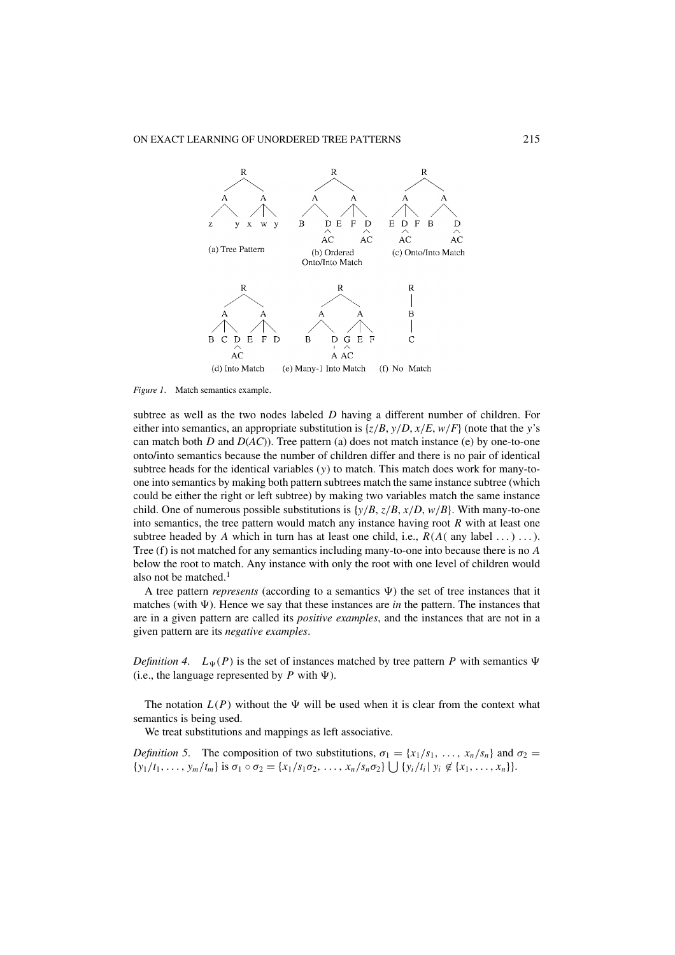

*Figure 1*. Match semantics example.

subtree as well as the two nodes labeled *D* having a different number of children. For either into semantics, an appropriate substitution is  $\{z/B, y/D, x/E, w/F\}$  (note that the *y*'s can match both *D* and *D*(*AC*)). Tree pattern (a) does not match instance (e) by one-to-one onto/into semantics because the number of children differ and there is no pair of identical subtree heads for the identical variables (*y*) to match. This match does work for many-toone into semantics by making both pattern subtrees match the same instance subtree (which could be either the right or left subtree) by making two variables match the same instance child. One of numerous possible substitutions is {*y*/*B*, *z*/*B*, *x*/*D*, *w*/*B*}. With many-to-one into semantics, the tree pattern would match any instance having root *R* with at least one subtree headed by *A* which in turn has at least one child, i.e.,  $R(A \text{ (any label } \dots) \dots)$ . Tree (f) is not matched for any semantics including many-to-one into because there is no *A* below the root to match. Any instance with only the root with one level of children would also not be matched. $<sup>1</sup>$ </sup>

A tree pattern *represents* (according to a semantics  $\Psi$ ) the set of tree instances that it matches (with  $\Psi$ ). Hence we say that these instances are *in* the pattern. The instances that are in a given pattern are called its *positive examples*, and the instances that are not in a given pattern are its *negative examples*.

*Definition 4.*  $L_{\Psi}(P)$  is the set of instances matched by tree pattern P with semantics  $\Psi$ (i.e., the language represented by  $P$  with  $\Psi$ ).

The notation  $L(P)$  without the  $\Psi$  will be used when it is clear from the context what semantics is being used.

We treat substitutions and mappings as left associative.

*Definition 5*. The composition of two substitutions,  $\sigma_1 = \{x_1/s_1, \ldots, x_n/s_n\}$  and  $\sigma_2 =$  $\{y_1/t_1, \ldots, y_m/t_m\}$  is  $\sigma_1 \circ \sigma_2 = \{x_1/s_1\sigma_2, \ldots, x_n/s_n\sigma_2\} \bigcup \{y_i/t_i | y_i \notin \{x_1, \ldots, x_n\}\}.$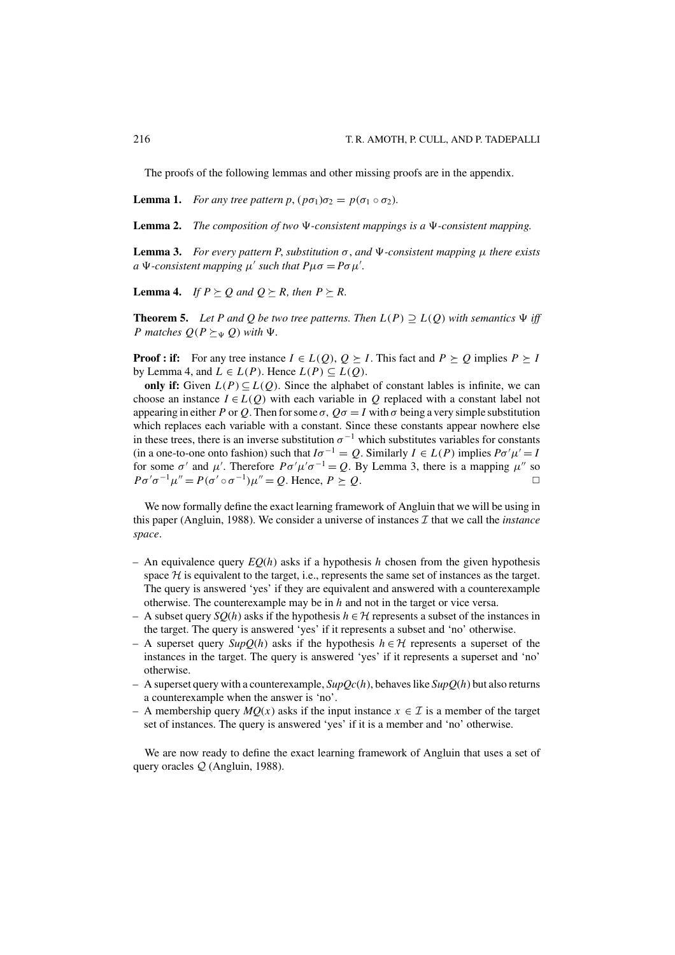The proofs of the following lemmas and other missing proofs are in the appendix.

**Lemma 1.** *For any tree pattern p*,  $(p\sigma_1)\sigma_2 = p(\sigma_1 \circ \sigma_2)$ *.* 

**Lemma 2.** *The composition of two*  $\Psi$ -consistent mappings is a  $\Psi$ -consistent mapping.

**Lemma 3.** *For every pattern P, substitution*  $\sigma$ *, and*  $\Psi$ -consistent mapping  $\mu$  there exists  $a \Psi$ -consistent mapping  $\mu'$  such that  $P\mu\sigma = P\sigma\mu'.$ 

**Lemma 4.** *If*  $P \succeq Q$  *and*  $Q \succeq R$ *, then*  $P \succeq R$ *.* 

**Theorem 5.** Let P and Q be two tree patterns. Then  $L(P) \supseteq L(Q)$  with semantics  $\Psi$  iff *P* matches  $Q(P \succeq_{\Psi} Q)$  with  $\Psi$ .

**Proof : if:** For any tree instance  $I \in L(Q)$ ,  $Q \succeq I$ . This fact and  $P \succeq Q$  implies  $P \succeq I$ by Lemma 4, and  $L \in L(P)$ . Hence  $L(P) \subseteq L(Q)$ .

**only if:** Given  $L(P) \subseteq L(Q)$ . Since the alphabet of constant lables is infinite, we can choose an instance  $I \in L(O)$  with each variable in *Q* replaced with a constant label not appearing in either *P* or *Q*. Then for some  $\sigma$ ,  $Q\sigma = I$  with  $\sigma$  being a very simple substitution which replaces each variable with a constant. Since these constants appear nowhere else in these trees, there is an inverse substitution  $\sigma^{-1}$  which substitutes variables for constants (in a one-to-one onto fashion) such that  $I\sigma^{-1} = Q$ . Similarly  $I \in L(P)$  implies  $P\sigma'\mu' = I$ for some  $\sigma'$  and  $\mu'$ . Therefore  $P\sigma'\mu'\sigma^{-1} = Q$ . By Lemma 3, there is a mapping  $\mu''$  so  $P\sigma'\sigma^{-1}\mu'' = P(\sigma'\circ\sigma^{-1})\mu'' = Q$ . Hence,  $P \ge Q$ .

We now formally define the exact learning framework of Angluin that we will be using in this paper (Angluin, 1988). We consider a universe of instances  $\mathcal I$  that we call the *instance space*.

- $-$  An equivalence query  $EQ(h)$  asks if a hypothesis *h* chosen from the given hypothesis space  $H$  is equivalent to the target, i.e., represents the same set of instances as the target. The query is answered 'yes' if they are equivalent and answered with a counterexample otherwise. The counterexample may be in *h* and not in the target or vice versa.
- A subset query *SQ*(*h*) asks if the hypothesis  $h \in H$  represents a subset of the instances in the target. The query is answered 'yes' if it represents a subset and 'no' otherwise.
- A superset query *SupQ*(*h*) asks if the hypothesis *h* ∈ H represents a superset of the instances in the target. The query is answered 'yes' if it represents a superset and 'no' otherwise.
- $-$  A superset query with a counterexample,  $\text{Sup}Q_C(h)$ , behaves like  $\text{Sup}Q(h)$  but also returns a counterexample when the answer is 'no'.
- A membership query  $MQ(x)$  asks if the input instance  $x \in \mathcal{I}$  is a member of the target set of instances. The query is answered 'yes' if it is a member and 'no' otherwise.

We are now ready to define the exact learning framework of Angluin that uses a set of query oracles Q (Angluin, 1988).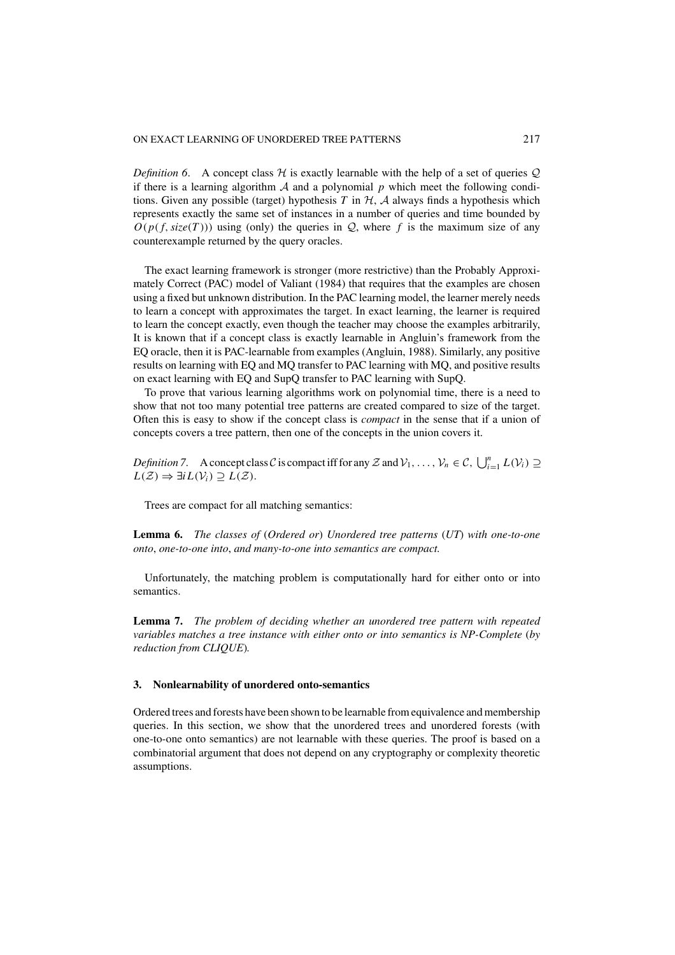*Definition 6.* A concept class  $H$  is exactly learnable with the help of a set of queries  $Q$ if there is a learning algorithm  $A$  and a polynomial  $p$  which meet the following conditions. Given any possible (target) hypothesis *T* in  $H$ ,  $A$  always finds a hypothesis which represents exactly the same set of instances in a number of queries and time bounded by  $O(p(f, \text{size}(T)))$  using (only) the queries in  $Q$ , where  $f$  is the maximum size of any counterexample returned by the query oracles.

The exact learning framework is stronger (more restrictive) than the Probably Approximately Correct (PAC) model of Valiant (1984) that requires that the examples are chosen using a fixed but unknown distribution. In the PAC learning model, the learner merely needs to learn a concept with approximates the target. In exact learning, the learner is required to learn the concept exactly, even though the teacher may choose the examples arbitrarily, It is known that if a concept class is exactly learnable in Angluin's framework from the EQ oracle, then it is PAC-learnable from examples (Angluin, 1988). Similarly, any positive results on learning with EQ and MQ transfer to PAC learning with MQ, and positive results on exact learning with EQ and SupQ transfer to PAC learning with SupQ.

To prove that various learning algorithms work on polynomial time, there is a need to show that not too many potential tree patterns are created compared to size of the target. Often this is easy to show if the concept class is *compact* in the sense that if a union of concepts covers a tree pattern, then one of the concepts in the union covers it.

*Definition 7.* A concept class C is compact iff for any Z and  $V_1, \ldots, V_n \in C$ ,  $\bigcup_{i=1}^n L(V_i) \supseteq$  $L(\mathcal{Z})$  ⇒  $\exists i L(\mathcal{V}_i) \supseteq L(\mathcal{Z})$ .

Trees are compact for all matching semantics:

**Lemma 6.** *The classes of* (*Ordered or*) *Unordered tree patterns* (*UT*) *with one-to-one onto*, *one-to-one into*, *and many-to-one into semantics are compact.*

Unfortunately, the matching problem is computationally hard for either onto or into semantics.

**Lemma 7.** *The problem of deciding whether an unordered tree pattern with repeated variables matches a tree instance with either onto or into semantics is NP-Complete* (*by reduction from CLIQUE*)*.*

#### **3. Nonlearnability of unordered onto-semantics**

Ordered trees and forests have been shown to be learnable from equivalence and membership queries. In this section, we show that the unordered trees and unordered forests (with one-to-one onto semantics) are not learnable with these queries. The proof is based on a combinatorial argument that does not depend on any cryptography or complexity theoretic assumptions.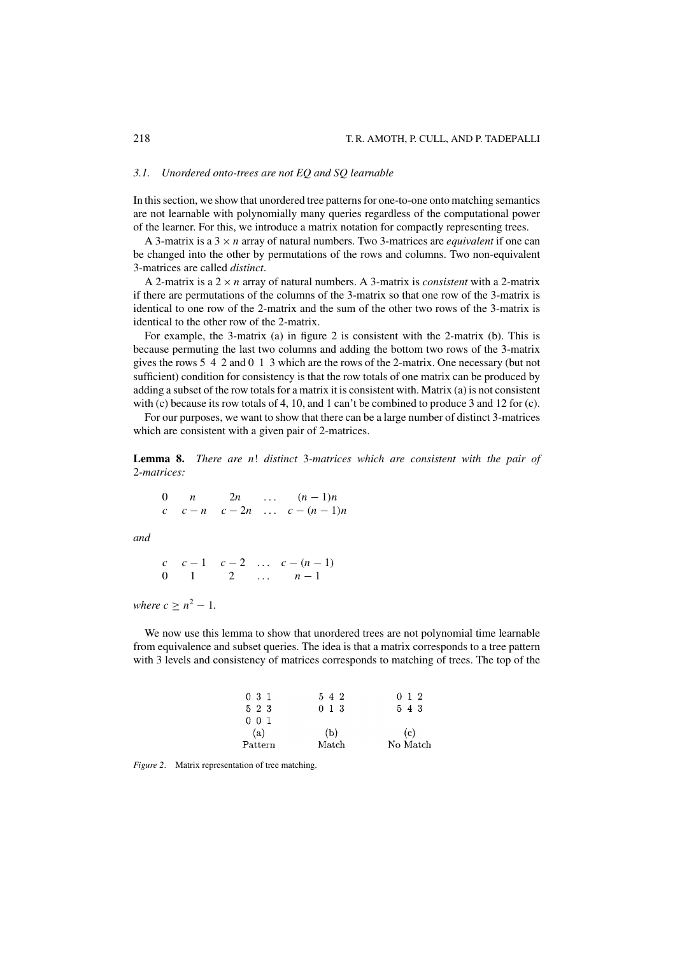#### *3.1. Unordered onto-trees are not EQ and SQ learnable*

In this section, we show that unordered tree patterns for one-to-one onto matching semantics are not learnable with polynomially many queries regardless of the computational power of the learner. For this, we introduce a matrix notation for compactly representing trees.

A 3-matrix is a 3 × *n* array of natural numbers. Two 3-matrices are *equivalent* if one can be changed into the other by permutations of the rows and columns. Two non-equivalent 3-matrices are called *distinct*.

A 2-matrix is a 2 × *n* array of natural numbers. A 3-matrix is *consistent* with a 2-matrix if there are permutations of the columns of the 3-matrix so that one row of the 3-matrix is identical to one row of the 2-matrix and the sum of the other two rows of the 3-matrix is identical to the other row of the 2-matrix.

For example, the 3-matrix (a) in figure 2 is consistent with the 2-matrix (b). This is because permuting the last two columns and adding the bottom two rows of the 3-matrix gives the rows 5 4 2 and 0 1 3 which are the rows of the 2-matrix. One necessary (but not sufficient) condition for consistency is that the row totals of one matrix can be produced by adding a subset of the row totals for a matrix it is consistent with. Matrix (a) is not consistent with (c) because its row totals of 4, 10, and 1 can't be combined to produce 3 and 12 for (c).

For our purposes, we want to show that there can be a large number of distinct 3-matrices which are consistent with a given pair of 2-matrices.

**Lemma 8.** *There are n*! *distinct* 3*-matrices which are consistent with the pair of* 2*-matrices:*

0 *n* 2*n* ... (*n* − 1)*n c c* − *n c* − 2*n* ... *c* − (*n* − 1)*n*

*and*

$$
\begin{array}{cccccc}\nc & c-1 & c-2 & \dots & c-(n-1) \\
0 & 1 & 2 & \dots & n-1\n\end{array}
$$

*where*  $c > n^2 - 1$ *.* 

We now use this lemma to show that unordered trees are not polynomial time learnable from equivalence and subset queries. The idea is that a matrix corresponds to a tree pattern with 3 levels and consistency of matrices corresponds to matching of trees. The top of the

| 031             | 5 4 2 | 012      |
|-----------------|-------|----------|
| 523             | 013   | 543      |
| $0\;0\;1$       |       |          |
| (a)             | (b)   | (c)      |
| ${\rm Pattern}$ | Match | No Match |

*Figure 2*. Matrix representation of tree matching.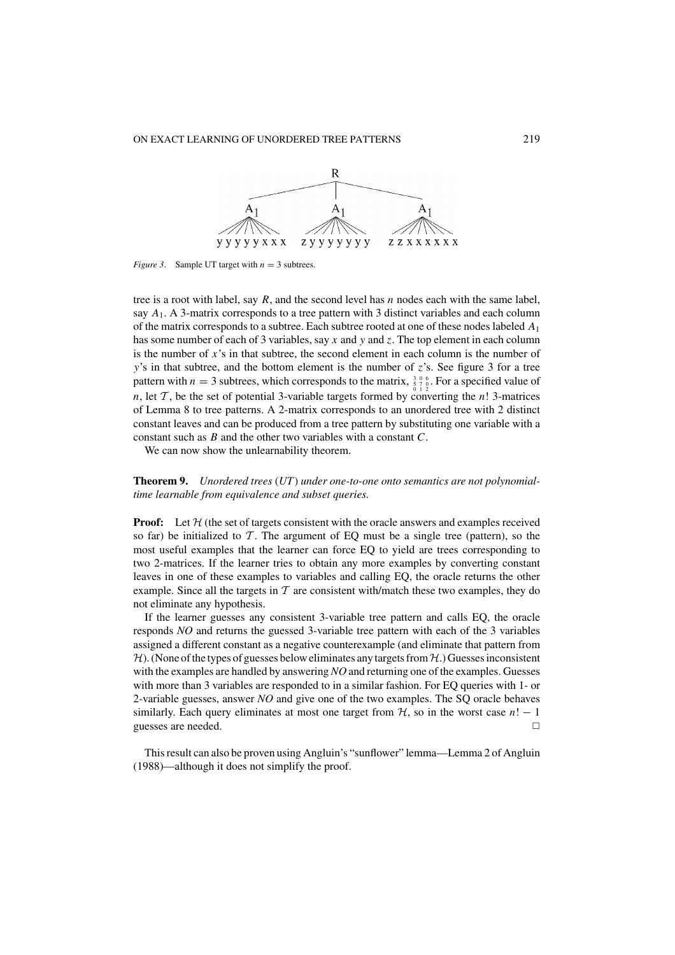

*Figure 3.* Sample UT target with  $n = 3$  subtrees.

tree is a root with label, say *R*, and the second level has *n* nodes each with the same label, say *A*1. A 3-matrix corresponds to a tree pattern with 3 distinct variables and each column of the matrix corresponds to a subtree. Each subtree rooted at one of these nodes labeled *A*<sup>1</sup> has some number of each of 3 variables, say *x* and *y* and *z*. The top element in each column is the number of  $x$ 's in that subtree, the second element in each column is the number of *y*'s in that subtree, and the bottom element is the number of *z*'s. See figure 3 for a tree pattern with  $n = 3$  subtrees, which corresponds to the matrix,  $\frac{3006}{012}$ . For a specified value of *n*, let  $T$ , be the set of potential 3-variable targets formed by converting the *n*! 3-matrices of Lemma 8 to tree patterns. A 2-matrix corresponds to an unordered tree with 2 distinct constant leaves and can be produced from a tree pattern by substituting one variable with a constant such as *B* and the other two variables with a constant *C*.

We can now show the unlearnability theorem.

**Theorem 9.** *Unordered trees* (*UT*) *under one-to-one onto semantics are not polynomialtime learnable from equivalence and subset queries.*

**Proof:** Let  $H$  (the set of targets consistent with the oracle answers and examples received so far) be initialized to  $\mathcal T$ . The argument of EQ must be a single tree (pattern), so the most useful examples that the learner can force EQ to yield are trees corresponding to two 2-matrices. If the learner tries to obtain any more examples by converting constant leaves in one of these examples to variables and calling EQ, the oracle returns the other example. Since all the targets in  $\mathcal T$  are consistent with/match these two examples, they do not eliminate any hypothesis.

If the learner guesses any consistent 3-variable tree pattern and calls EQ, the oracle responds *NO* and returns the guessed 3-variable tree pattern with each of the 3 variables assigned a different constant as a negative counterexample (and eliminate that pattern from  $H$ ). (None of the types of guesses below eliminates any targets from  $H$ .) Guesses inconsistent with the examples are handled by answering *NO* and returning one of the examples. Guesses with more than 3 variables are responded to in a similar fashion. For EQ queries with 1- or 2-variable guesses, answer *NO* and give one of the two examples. The SQ oracle behaves similarly. Each query eliminates at most one target from  $H$ , so in the worst case  $n! - 1$ guesses are needed.

This result can also be proven using Angluin's "sunflower" lemma—Lemma 2 of Angluin (1988)—although it does not simplify the proof.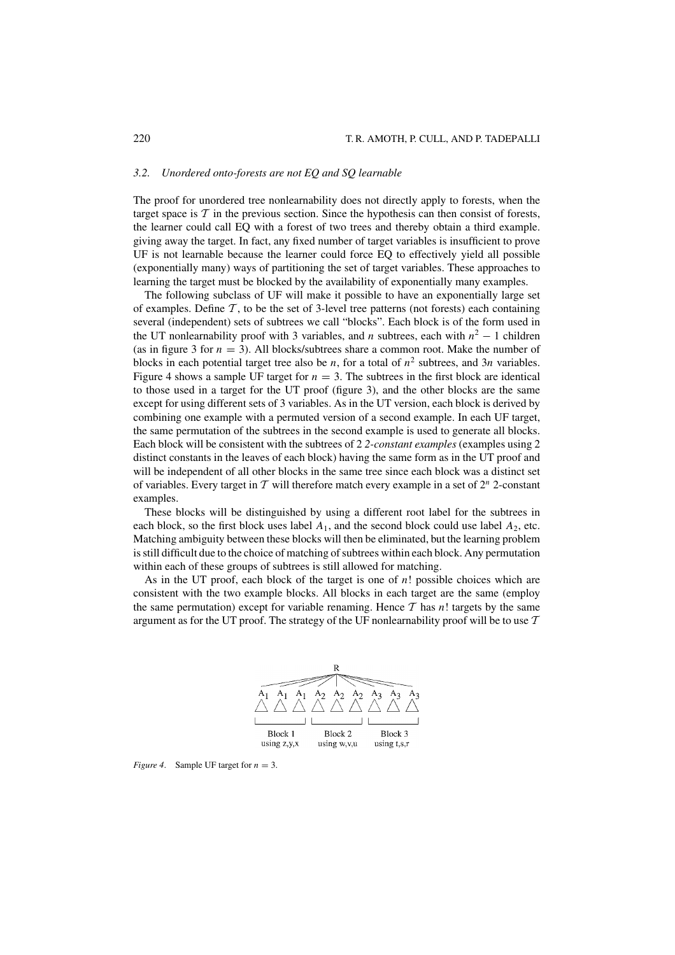#### *3.2. Unordered onto-forests are not EQ and SQ learnable*

The proof for unordered tree nonlearnability does not directly apply to forests, when the target space is  $T$  in the previous section. Since the hypothesis can then consist of forests, the learner could call EQ with a forest of two trees and thereby obtain a third example. giving away the target. In fact, any fixed number of target variables is insufficient to prove UF is not learnable because the learner could force EQ to effectively yield all possible (exponentially many) ways of partitioning the set of target variables. These approaches to learning the target must be blocked by the availability of exponentially many examples.

The following subclass of UF will make it possible to have an exponentially large set of examples. Define  $\mathcal T$ , to be the set of 3-level tree patterns (not forests) each containing several (independent) sets of subtrees we call "blocks". Each block is of the form used in the UT nonlearnability proof with 3 variables, and *n* subtrees, each with  $n^2 - 1$  children (as in figure 3 for  $n = 3$ ). All blocks/subtrees share a common root. Make the number of blocks in each potential target tree also be *n*, for a total of  $n^2$  subtrees, and 3*n* variables. Figure 4 shows a sample UF target for  $n = 3$ . The subtrees in the first block are identical to those used in a target for the UT proof (figure 3), and the other blocks are the same except for using different sets of 3 variables. As in the UT version, each block is derived by combining one example with a permuted version of a second example. In each UF target, the same permutation of the subtrees in the second example is used to generate all blocks. Each block will be consistent with the subtrees of 2 *2-constant examples* (examples using 2 distinct constants in the leaves of each block) having the same form as in the UT proof and will be independent of all other blocks in the same tree since each block was a distinct set of variables. Every target in  $T$  will therefore match every example in a set of  $2^n$  2-constant examples.

These blocks will be distinguished by using a different root label for the subtrees in each block, so the first block uses label  $A_1$ , and the second block could use label  $A_2$ , etc. Matching ambiguity between these blocks will then be eliminated, but the learning problem is still difficult due to the choice of matching of subtrees within each block. Any permutation within each of these groups of subtrees is still allowed for matching.

As in the UT proof, each block of the target is one of *n*! possible choices which are consistent with the two example blocks. All blocks in each target are the same (employ the same permutation) except for variable renaming. Hence  $T$  has  $n!$  targets by the same argument as for the UT proof. The strategy of the UF nonlearnability proof will be to use  $T$ 



*Figure 4.* Sample UF target for  $n = 3$ .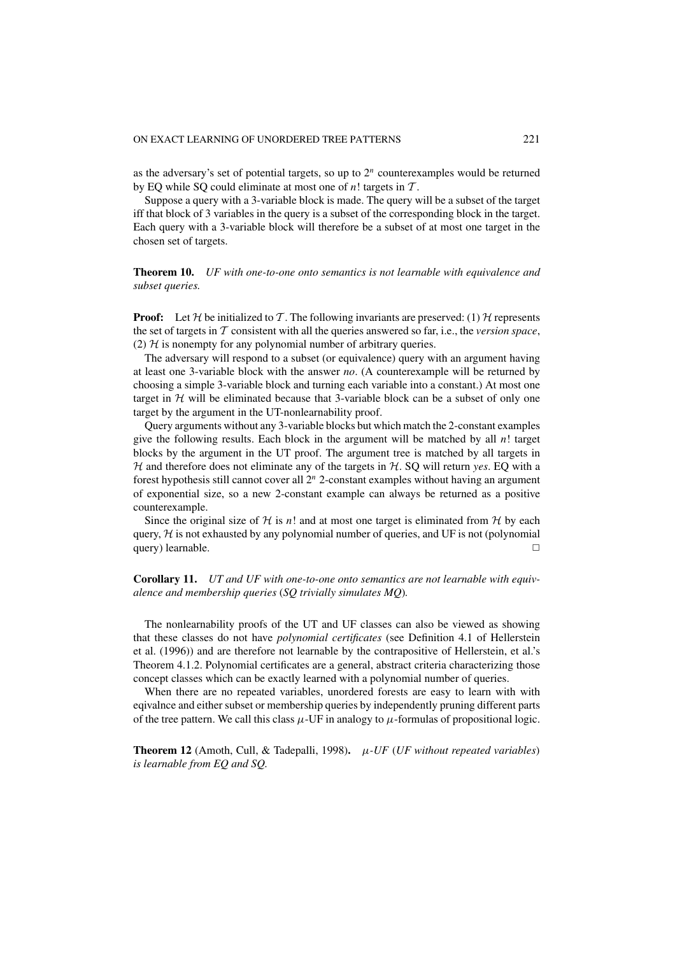as the adversary's set of potential targets, so up to  $2<sup>n</sup>$  counterexamples would be returned by EQ while SQ could eliminate at most one of *n*! targets in T .

Suppose a query with a 3-variable block is made. The query will be a subset of the target iff that block of 3 variables in the query is a subset of the corresponding block in the target. Each query with a 3-variable block will therefore be a subset of at most one target in the chosen set of targets.

**Theorem 10.** *UF with one-to-one onto semantics is not learnable with equivalence and subset queries.*

**Proof:** Let  $H$  be initialized to  $T$ . The following invariants are preserved: (1)  $H$  represents the set of targets in T consistent with all the queries answered so far, i.e., the *version space*, (2)  $H$  is nonempty for any polynomial number of arbitrary queries.

The adversary will respond to a subset (or equivalence) query with an argument having at least one 3-variable block with the answer *no*. (A counterexample will be returned by choosing a simple 3-variable block and turning each variable into a constant.) At most one target in  $H$  will be eliminated because that 3-variable block can be a subset of only one target by the argument in the UT-nonlearnability proof.

Query arguments without any 3-variable blocks but which match the 2-constant examples give the following results. Each block in the argument will be matched by all *n*! target blocks by the argument in the UT proof. The argument tree is matched by all targets in  $H$  and therefore does not eliminate any of the targets in  $H$ . SO will return *yes*. EQ with a forest hypothesis still cannot cover all 2*<sup>n</sup>* 2-constant examples without having an argument of exponential size, so a new 2-constant example can always be returned as a positive counterexample.

Since the original size of  $H$  is *n*! and at most one target is eliminated from  $H$  by each query,  $H$  is not exhausted by any polynomial number of queries, and UF is not (polynomial query) learnable.

# **Corollary 11.** *UT and UF with one-to-one onto semantics are not learnable with equivalence and membership queries* (*SQ trivially simulates MQ*)*.*

The nonlearnability proofs of the UT and UF classes can also be viewed as showing that these classes do not have *polynomial certificates* (see Definition 4.1 of Hellerstein et al. (1996)) and are therefore not learnable by the contrapositive of Hellerstein, et al.'s Theorem 4.1.2. Polynomial certificates are a general, abstract criteria characterizing those concept classes which can be exactly learned with a polynomial number of queries.

When there are no repeated variables, unordered forests are easy to learn with with eqivalnce and either subset or membership queries by independently pruning different parts of the tree pattern. We call this class  $\mu$ -UF in analogy to  $\mu$ -formulas of propositional logic.

**Theorem 12** (Amoth, Cull, & Tadepalli, 1998)**.** µ*-UF* (*UF without repeated variables*) *is learnable from EQ and SQ.*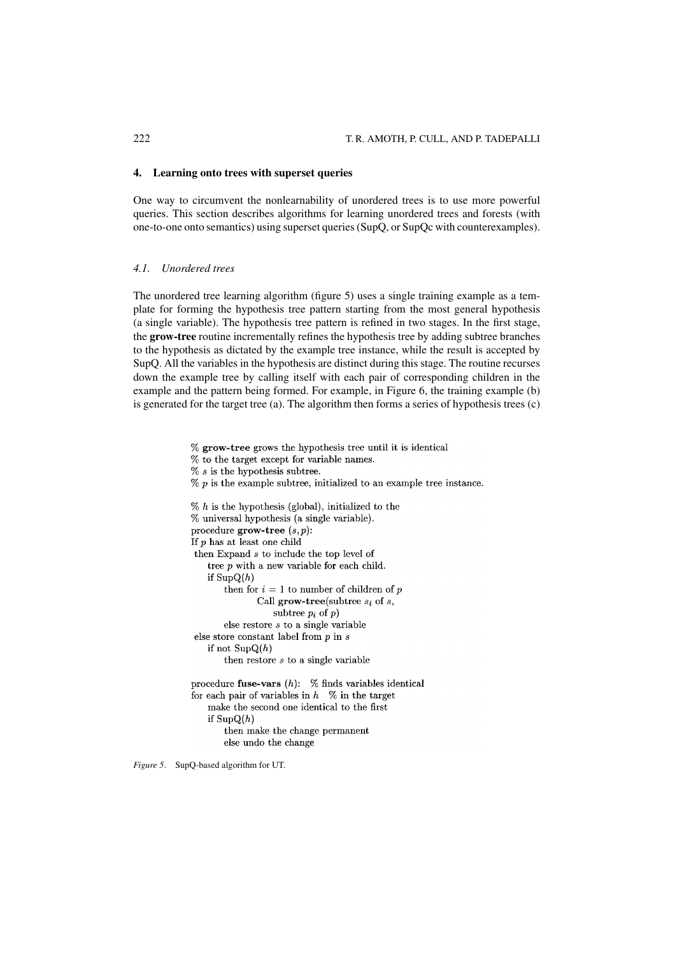#### **4. Learning onto trees with superset queries**

One way to circumvent the nonlearnability of unordered trees is to use more powerful queries. This section describes algorithms for learning unordered trees and forests (with one-to-one onto semantics) using superset queries (SupQ, or SupQc with counterexamples).

## *4.1. Unordered trees*

The unordered tree learning algorithm (figure 5) uses a single training example as a template for forming the hypothesis tree pattern starting from the most general hypothesis (a single variable). The hypothesis tree pattern is refined in two stages. In the first stage, the **grow-tree** routine incrementally refines the hypothesis tree by adding subtree branches to the hypothesis as dictated by the example tree instance, while the result is accepted by SupQ. All the variables in the hypothesis are distinct during this stage. The routine recurses down the example tree by calling itself with each pair of corresponding children in the example and the pattern being formed. For example, in Figure 6, the training example (b) is generated for the target tree  $(a)$ . The algorithm then forms a series of hypothesis trees  $(c)$ 

> % grow-tree grows the hypothesis tree until it is identical % to the target except for variable names.  $\% s$  is the hypothesis subtree.  $\%$  p is the example subtree, initialized to an example tree instance.  $\%$  h is the hypothesis (global), initialized to the % universal hypothesis (a single variable). procedure grow-tree  $(s, p)$ : If  $p$  has at least one child then Expand s to include the top level of tree  $p$  with a new variable for each child. if  $\text{SupQ}(h)$ then for  $i = 1$  to number of children of p Call grow-tree(subtree  $s_i$  of  $s$ , subtree  $p_i$  of  $p$ ) else restore  $s$  to a single variable else store constant label from  $p$  in  $s$ if not  $\text{SupQ}(h)$ then restore  $s$  to a single variable procedure fuse-vars  $(h)$ : % finds variables identical for each pair of variables in  $h \propto \infty$  in the target make the second one identical to the first if  $\text{SupQ}(h)$ then make the change permanent else undo the change

*Figure 5*. SupQ-based algorithm for UT.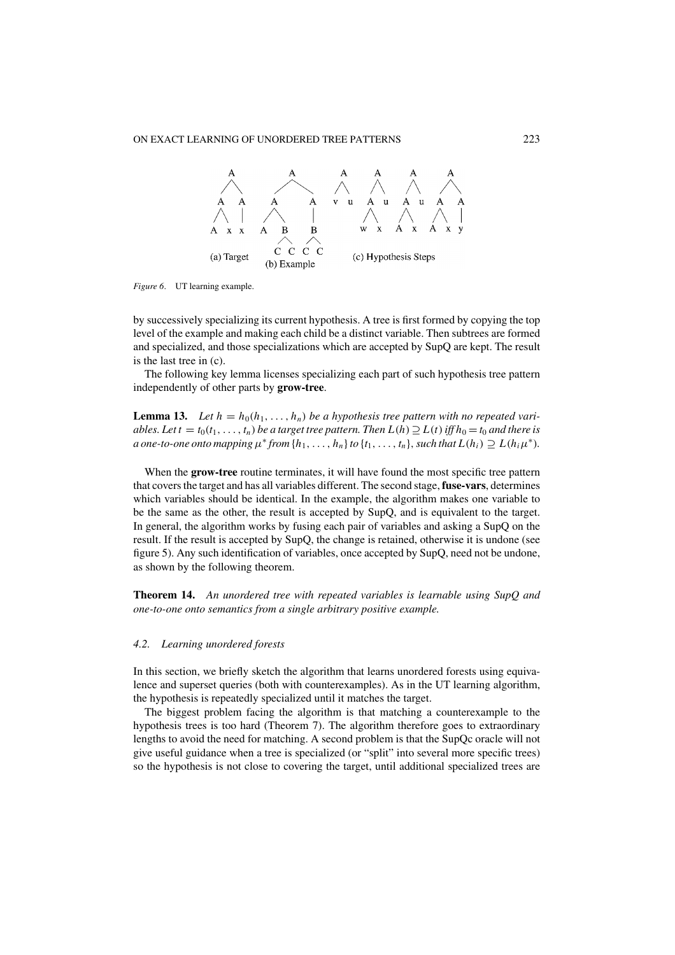

*Figure 6*. UT learning example.

by successively specializing its current hypothesis. A tree is first formed by copying the top level of the example and making each child be a distinct variable. Then subtrees are formed and specialized, and those specializations which are accepted by SupQ are kept. The result is the last tree in (c).

The following key lemma licenses specializing each part of such hypothesis tree pattern independently of other parts by **grow-tree**.

**Lemma 13.** Let  $h = h_0(h_1, \ldots, h_n)$  be a hypothesis tree pattern with no repeated vari*ables. Let*  $t = t_0(t_1, \ldots, t_n)$  *be a target tree pattern. Then*  $L(h) \supseteq L(t)$  *iff*  $h_0 = t_0$  *and there is a* one-to-one onto mapping  $\mu^*$  *from*  $\{h_1, \ldots, h_n\}$  *to*  $\{t_1, \ldots, t_n\}$ *, such that*  $L(h_i) \supseteq L(h_i \mu^*)$ *.* 

When the **grow-tree** routine terminates, it will have found the most specific tree pattern that covers the target and has all variables different. The second stage, **fuse-vars**, determines which variables should be identical. In the example, the algorithm makes one variable to be the same as the other, the result is accepted by SupQ, and is equivalent to the target. In general, the algorithm works by fusing each pair of variables and asking a SupQ on the result. If the result is accepted by SupQ, the change is retained, otherwise it is undone (see figure 5). Any such identification of variables, once accepted by SupQ, need not be undone, as shown by the following theorem.

**Theorem 14.** *An unordered tree with repeated variables is learnable using SupQ and one-to-one onto semantics from a single arbitrary positive example.*

#### *4.2. Learning unordered forests*

In this section, we briefly sketch the algorithm that learns unordered forests using equivalence and superset queries (both with counterexamples). As in the UT learning algorithm, the hypothesis is repeatedly specialized until it matches the target.

The biggest problem facing the algorithm is that matching a counterexample to the hypothesis trees is too hard (Theorem 7). The algorithm therefore goes to extraordinary lengths to avoid the need for matching. A second problem is that the SupQc oracle will not give useful guidance when a tree is specialized (or "split" into several more specific trees) so the hypothesis is not close to covering the target, until additional specialized trees are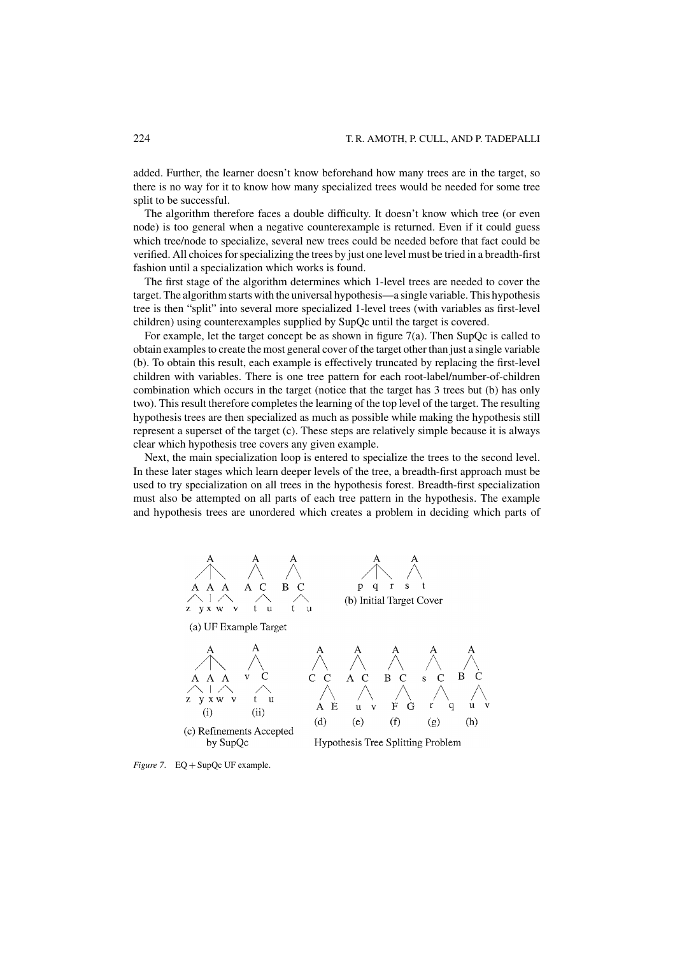added. Further, the learner doesn't know beforehand how many trees are in the target, so there is no way for it to know how many specialized trees would be needed for some tree split to be successful.

The algorithm therefore faces a double difficulty. It doesn't know which tree (or even node) is too general when a negative counterexample is returned. Even if it could guess which tree/node to specialize, several new trees could be needed before that fact could be verified. All choices for specializing the trees by just one level must be tried in a breadth-first fashion until a specialization which works is found.

The first stage of the algorithm determines which 1-level trees are needed to cover the target. The algorithm starts with the universal hypothesis—a single variable. This hypothesis tree is then "split" into several more specialized 1-level trees (with variables as first-level children) using counterexamples supplied by SupQc until the target is covered.

For example, let the target concept be as shown in figure 7(a). Then SupQc is called to obtain examples to create the most general cover of the target other than just a single variable (b). To obtain this result, each example is effectively truncated by replacing the first-level children with variables. There is one tree pattern for each root-label/number-of-children combination which occurs in the target (notice that the target has 3 trees but (b) has only two). This result therefore completes the learning of the top level of the target. The resulting hypothesis trees are then specialized as much as possible while making the hypothesis still represent a superset of the target (c). These steps are relatively simple because it is always clear which hypothesis tree covers any given example.

Next, the main specialization loop is entered to specialize the trees to the second level. In these later stages which learn deeper levels of the tree, a breadth-first approach must be used to try specialization on all trees in the hypothesis forest. Breadth-first specialization must also be attempted on all parts of each tree pattern in the hypothesis. The example and hypothesis trees are unordered which creates a problem in deciding which parts of



*Figure 7.* EQ + SupQc UF example.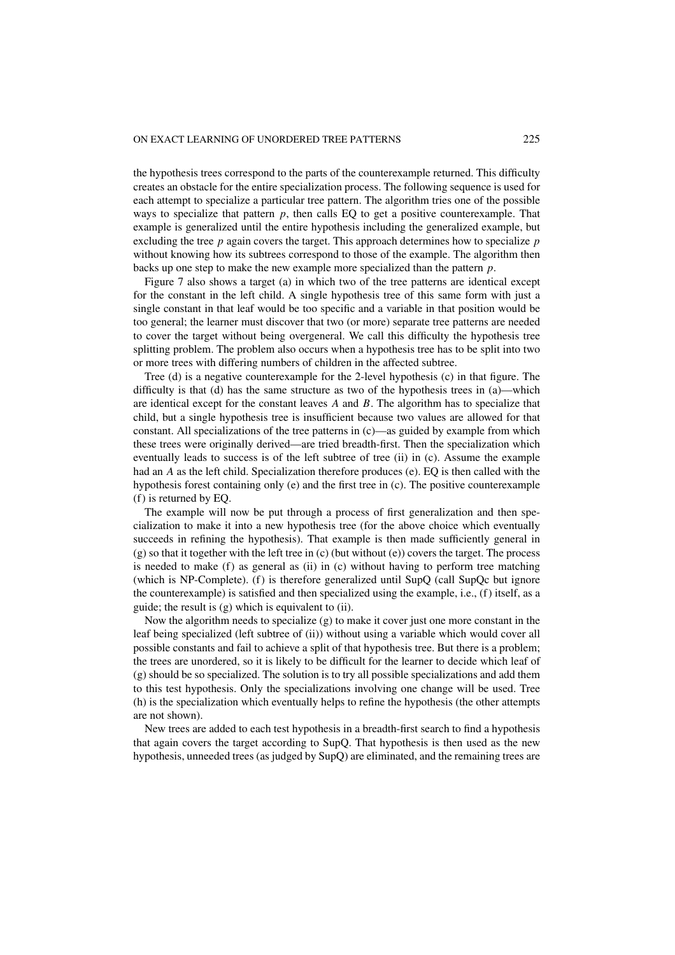the hypothesis trees correspond to the parts of the counterexample returned. This difficulty creates an obstacle for the entire specialization process. The following sequence is used for each attempt to specialize a particular tree pattern. The algorithm tries one of the possible ways to specialize that pattern  $p$ , then calls EQ to get a positive counterexample. That example is generalized until the entire hypothesis including the generalized example, but excluding the tree *p* again covers the target. This approach determines how to specialize *p* without knowing how its subtrees correspond to those of the example. The algorithm then backs up one step to make the new example more specialized than the pattern *p*.

Figure 7 also shows a target (a) in which two of the tree patterns are identical except for the constant in the left child. A single hypothesis tree of this same form with just a single constant in that leaf would be too specific and a variable in that position would be too general; the learner must discover that two (or more) separate tree patterns are needed to cover the target without being overgeneral. We call this difficulty the hypothesis tree splitting problem. The problem also occurs when a hypothesis tree has to be split into two or more trees with differing numbers of children in the affected subtree.

Tree (d) is a negative counterexample for the 2-level hypothesis (c) in that figure. The difficulty is that (d) has the same structure as two of the hypothesis trees in (a)—which are identical except for the constant leaves *A* and *B*. The algorithm has to specialize that child, but a single hypothesis tree is insufficient because two values are allowed for that constant. All specializations of the tree patterns in (c)—as guided by example from which these trees were originally derived—are tried breadth-first. Then the specialization which eventually leads to success is of the left subtree of tree (ii) in (c). Assume the example had an *A* as the left child. Specialization therefore produces (e). EQ is then called with the hypothesis forest containing only (e) and the first tree in (c). The positive counterexample (f) is returned by EQ.

The example will now be put through a process of first generalization and then specialization to make it into a new hypothesis tree (for the above choice which eventually succeeds in refining the hypothesis). That example is then made sufficiently general in  $(g)$  so that it together with the left tree in  $(c)$  (but without  $(e)$ ) covers the target. The process is needed to make  $(f)$  as general as (ii) in (c) without having to perform tree matching (which is NP-Complete). (f) is therefore generalized until SupQ (call SupQc but ignore the counterexample) is satisfied and then specialized using the example, i.e., (f) itself, as a guide; the result is (g) which is equivalent to (ii).

Now the algorithm needs to specialize  $(g)$  to make it cover just one more constant in the leaf being specialized (left subtree of (ii)) without using a variable which would cover all possible constants and fail to achieve a split of that hypothesis tree. But there is a problem; the trees are unordered, so it is likely to be difficult for the learner to decide which leaf of (g) should be so specialized. The solution is to try all possible specializations and add them to this test hypothesis. Only the specializations involving one change will be used. Tree (h) is the specialization which eventually helps to refine the hypothesis (the other attempts are not shown).

New trees are added to each test hypothesis in a breadth-first search to find a hypothesis that again covers the target according to SupQ. That hypothesis is then used as the new hypothesis, unneeded trees (as judged by SupQ) are eliminated, and the remaining trees are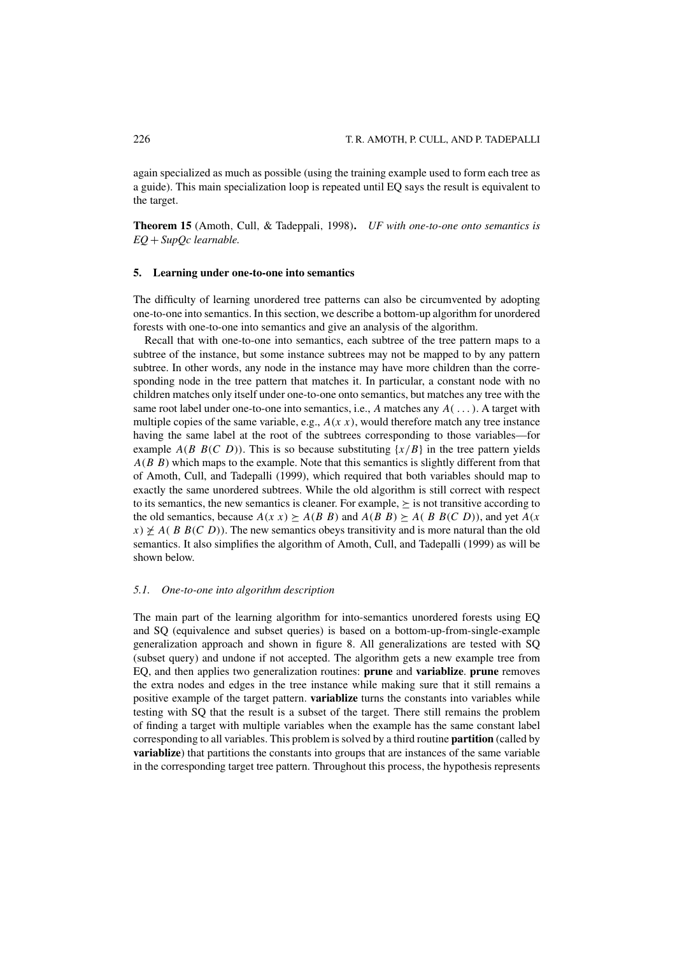again specialized as much as possible (using the training example used to form each tree as a guide). This main specialization loop is repeated until EQ says the result is equivalent to the target.

**Theorem 15** (Amoth, Cull, & Tadeppali, 1998)**.** *UF with one-to-one onto semantics is EQ* + *SupQc learnable.*

#### **5. Learning under one-to-one into semantics**

The difficulty of learning unordered tree patterns can also be circumvented by adopting one-to-one into semantics. In this section, we describe a bottom-up algorithm for unordered forests with one-to-one into semantics and give an analysis of the algorithm.

Recall that with one-to-one into semantics, each subtree of the tree pattern maps to a subtree of the instance, but some instance subtrees may not be mapped to by any pattern subtree. In other words, any node in the instance may have more children than the corresponding node in the tree pattern that matches it. In particular, a constant node with no children matches only itself under one-to-one onto semantics, but matches any tree with the same root label under one-to-one into semantics, i.e., *A* matches any *A*(...). A target with multiple copies of the same variable, e.g.,  $A(x, x)$ , would therefore match any tree instance having the same label at the root of the subtrees corresponding to those variables—for example  $A(B B(C D))$ . This is so because substituting  $\{x/B\}$  in the tree pattern yields *A*(*B B*) which maps to the example. Note that this semantics is slightly different from that of Amoth, Cull, and Tadepalli (1999), which required that both variables should map to exactly the same unordered subtrees. While the old algorithm is still correct with respect to its semantics, the new semantics is cleaner. For example,  $\geq$  is not transitive according to the old semantics, because  $A(x x) \ge A(B B)$  and  $A(B B) \ge A(B B(C D))$ , and yet  $A(x)$  $x$ )  $\neq$  *A*(*B B*(*C D*)). The new semantics obeys transitivity and is more natural than the old semantics. It also simplifies the algorithm of Amoth, Cull, and Tadepalli (1999) as will be shown below.

#### *5.1. One-to-one into algorithm description*

The main part of the learning algorithm for into-semantics unordered forests using EQ and SQ (equivalence and subset queries) is based on a bottom-up-from-single-example generalization approach and shown in figure 8. All generalizations are tested with SQ (subset query) and undone if not accepted. The algorithm gets a new example tree from EQ, and then applies two generalization routines: **prune** and **variablize**. **prune** removes the extra nodes and edges in the tree instance while making sure that it still remains a positive example of the target pattern. **variablize** turns the constants into variables while testing with SQ that the result is a subset of the target. There still remains the problem of finding a target with multiple variables when the example has the same constant label corresponding to all variables. This problem is solved by a third routine **partition** (called by **variablize**) that partitions the constants into groups that are instances of the same variable in the corresponding target tree pattern. Throughout this process, the hypothesis represents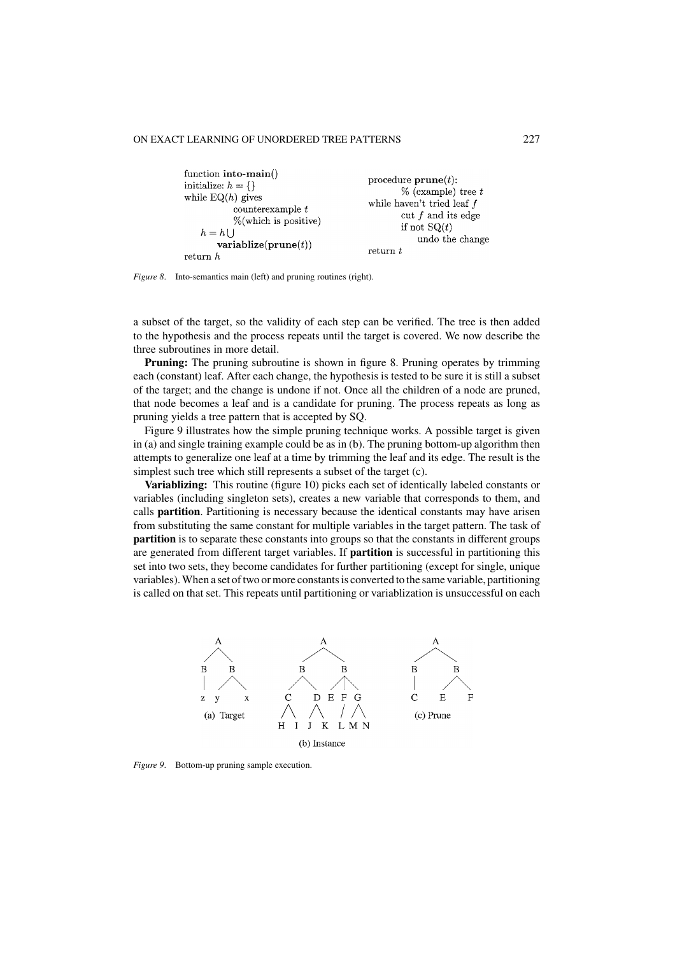```
function into\text{-}\mathbf{main}()procedure \textbf{prune}(t):
initialize: h = \{\}% (example) tree t
while EQ(h) gives
                                               while haven't tried leaf fcounter example tcut f and its edge
            %(which is positive)
                                                       if not \mathrm{SQ}(t)h = h \perpundo the change
        variable(prune(t))return treturn h
```
*Figure 8.* Into-semantics main (left) and pruning routines (right).

a subset of the target, so the validity of each step can be verified. The tree is then added to the hypothesis and the process repeats until the target is covered. We now describe the three subroutines in more detail.

**Pruning:** The pruning subroutine is shown in figure 8. Pruning operates by trimming each (constant) leaf. After each change, the hypothesis is tested to be sure it is still a subset of the target; and the change is undone if not. Once all the children of a node are pruned, that node becomes a leaf and is a candidate for pruning. The process repeats as long as pruning yields a tree pattern that is accepted by SQ.

Figure 9 illustrates how the simple pruning technique works. A possible target is given in (a) and single training example could be as in (b). The pruning bottom-up algorithm then attempts to generalize one leaf at a time by trimming the leaf and its edge. The result is the simplest such tree which still represents a subset of the target (c).

**Variablizing:** This routine (figure 10) picks each set of identically labeled constants or variables (including singleton sets), creates a new variable that corresponds to them, and calls **partition**. Partitioning is necessary because the identical constants may have arisen from substituting the same constant for multiple variables in the target pattern. The task of **partition** is to separate these constants into groups so that the constants in different groups are generated from different target variables. If **partition** is successful in partitioning this set into two sets, they become candidates for further partitioning (except for single, unique variables). When a set of two or more constants is converted to the same variable, partitioning is called on that set. This repeats until partitioning or variablization is unsuccessful on each



*Figure 9*. Bottom-up pruning sample execution.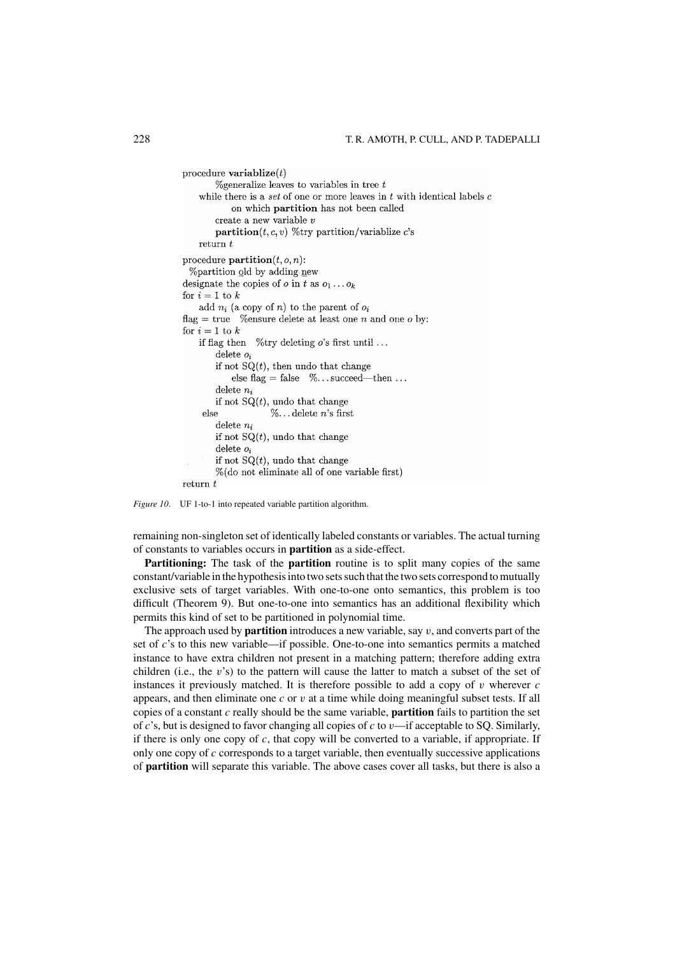```
procedure variablize(t)while there is a set of one or more leaves in t with identical labels con which partition has not been called
       create a new variable vpartition(t, c, v) % try partition/variablize c's
   return tprocedure partition(t, o, n):
 %partition old by adding new
designate the copies of o in t as o_1 \ldots o_kfor i=1 to k
   add n_i (a copy of n) to the parent of o_iflag = true % ensure delete at least one n and one o by:
for i=1 to \boldsymbol{k}if flag then \%try deleting o's first until ...
       delete o_iif not SQ(t), then undo that change
           else flag = false \%...succeed—then...
       delete n_iif not \mathrm{SQ}(t), undo that change
    else
                    \%... delete n's first
       delete n_iif not SQ(t), undo that change
       delete o_iif not SQ(t), undo that change
       %(do not eliminate all of one variable first)
return t
```
*Figure 10*. UF 1-to-1 into repeated variable partition algorithm.

remaining non-singleton set of identically labeled constants or variables. The actual turning of constants to variables occurs in **partition** as a side-effect.

**Partitioning:** The task of the **partition** routine is to split many copies of the same constant/variable in the hypothesis into two sets such that the two sets correspond to mutually exclusive sets of target variables. With one-to-one onto semantics, this problem is too difficult (Theorem 9). But one-to-one into semantics has an additional flexibility which permits this kind of set to be partitioned in polynomial time.

The approach used by **partition** introduces a new variable, say v, and converts part of the set of *c*'s to this new variable—if possible. One-to-one into semantics permits a matched instance to have extra children not present in a matching pattern; therefore adding extra children (i.e., the  $v$ 's) to the pattern will cause the latter to match a subset of the set of instances it previously matched. It is therefore possible to add a copy of  $v$  wherever  $c$ appears, and then eliminate one *c* or v at a time while doing meaningful subset tests. If all copies of a constant *c* really should be the same variable, **partition** fails to partition the set of *c*'s, but is designed to favor changing all copies of *c* to v—if acceptable to SQ. Similarly, if there is only one copy of *c*, that copy will be converted to a variable, if appropriate. If only one copy of *c* corresponds to a target variable, then eventually successive applications of **partition** will separate this variable. The above cases cover all tasks, but there is also a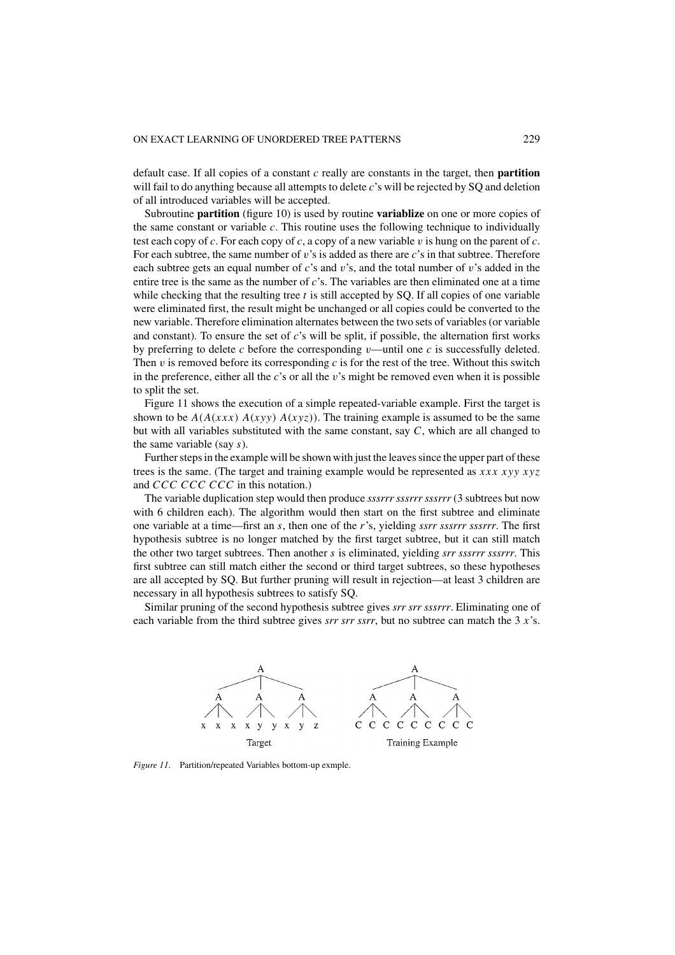default case. If all copies of a constant *c* really are constants in the target, then **partition** will fail to do anything because all attempts to delete *c*'s will be rejected by SQ and deletion of all introduced variables will be accepted.

Subroutine **partition** (figure 10) is used by routine **variablize** on one or more copies of the same constant or variable *c*. This routine uses the following technique to individually test each copy of *c*. For each copy of *c*, a copy of a new variable v is hung on the parent of *c*. For each subtree, the same number of v's is added as there are *c*'s in that subtree. Therefore each subtree gets an equal number of  $c$ 's and  $v$ 's, and the total number of  $v$ 's added in the entire tree is the same as the number of *c*'s. The variables are then eliminated one at a time while checking that the resulting tree *t* is still accepted by SQ. If all copies of one variable were eliminated first, the result might be unchanged or all copies could be converted to the new variable. Therefore elimination alternates between the two sets of variables (or variable and constant). To ensure the set of *c*'s will be split, if possible, the alternation first works by preferring to delete  $c$  before the corresponding  $v$ —until one  $c$  is successfully deleted. Then  $v$  is removed before its corresponding  $c$  is for the rest of the tree. Without this switch in the preference, either all the *c*'s or all the v's might be removed even when it is possible to split the set.

Figure 11 shows the execution of a simple repeated-variable example. First the target is shown to be  $A(A(x \, x \, x) \, A(x \, y \, y) \, A(x \, y \, z))$ . The training example is assumed to be the same but with all variables substituted with the same constant, say *C*, which are all changed to the same variable (say *s*).

Further steps in the example will be shown with just the leaves since the upper part of these trees is the same. (The target and training example would be represented as *xxx xyy xyz* and *CCC CCC CCC* in this notation.)

The variable duplication step would then produce *sssrrr sssrrr sssrrr* (3 subtrees but now with 6 children each). The algorithm would then start on the first subtree and eliminate one variable at a time—first an *s*, then one of the *r*'s, yielding *ssrr sssrrr sssrrr*. The first hypothesis subtree is no longer matched by the first target subtree, but it can still match the other two target subtrees. Then another *s* is eliminated, yielding *srr sssrrr sssrrr*. This first subtree can still match either the second or third target subtrees, so these hypotheses are all accepted by SQ. But further pruning will result in rejection—at least 3 children are necessary in all hypothesis subtrees to satisfy SQ.

Similar pruning of the second hypothesis subtree gives *srr srr sssrrr*. Eliminating one of each variable from the third subtree gives *srr srr ssrr*, but no subtree can match the 3 *x*'s.



*Figure 11*. Partition/repeated Variables bottom-up exmple.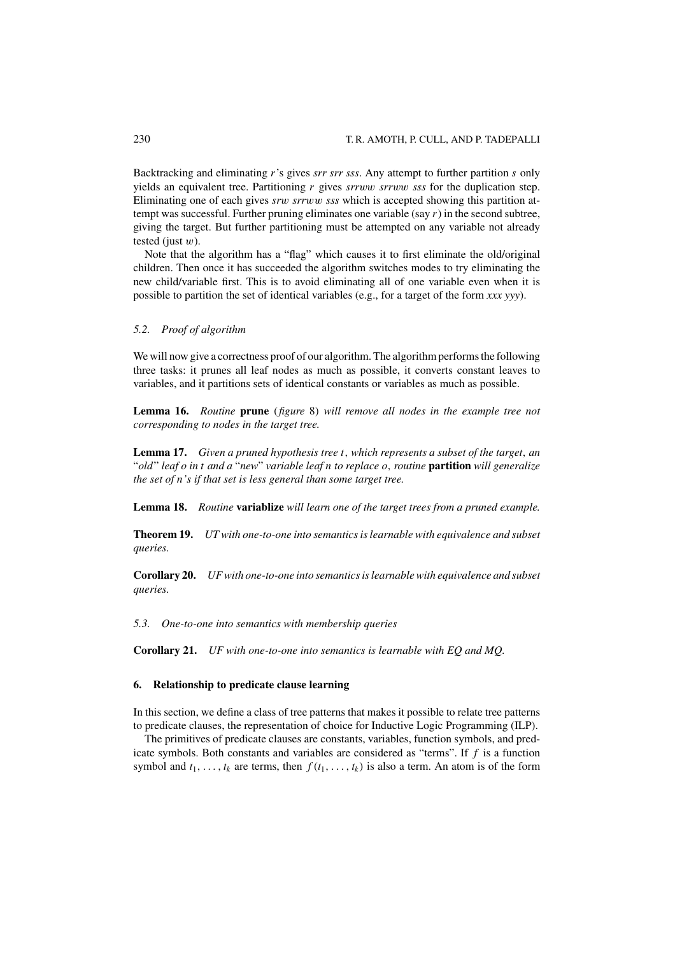Backtracking and eliminating *r*'s gives *srr srr sss*. Any attempt to further partition *s* only yields an equivalent tree. Partitioning *r* gives *srr*ww *srr*ww *sss* for the duplication step. Eliminating one of each gives *sr*w *srr*ww *sss* which is accepted showing this partition attempt was successful. Further pruning eliminates one variable (say *r*) in the second subtree, giving the target. But further partitioning must be attempted on any variable not already tested (just  $w$ ).

Note that the algorithm has a "flag" which causes it to first eliminate the old/original children. Then once it has succeeded the algorithm switches modes to try eliminating the new child/variable first. This is to avoid eliminating all of one variable even when it is possible to partition the set of identical variables (e.g., for a target of the form *xxx yyy*).

#### *5.2. Proof of algorithm*

We will now give a correctness proof of our algorithm. The algorithm performs the following three tasks: it prunes all leaf nodes as much as possible, it converts constant leaves to variables, and it partitions sets of identical constants or variables as much as possible.

**Lemma 16.** *Routine* **prune** (*figure* 8) *will remove all nodes in the example tree not corresponding to nodes in the target tree.*

**Lemma 17.** *Given a pruned hypothesis tree t*, *which represents a subset of the target*, *an* "*old*" *leaf o in t and a* "*new*" *variable leaf n to replace o*, *routine* **partition** *will generalize the set of n's if that set is less general than some target tree.*

**Lemma 18.** *Routine* **variablize** *will learn one of the target trees from a pruned example.*

**Theorem 19.** *UT with one-to-one into semantics is learnable with equivalence and subset queries.*

**Corollary 20.** *UF with one-to-one into semantics is learnable with equivalence and subset queries.*

*5.3. One-to-one into semantics with membership queries*

**Corollary 21.** *UF with one-to-one into semantics is learnable with EQ and MQ.*

## **6. Relationship to predicate clause learning**

In this section, we define a class of tree patterns that makes it possible to relate tree patterns to predicate clauses, the representation of choice for Inductive Logic Programming (ILP).

The primitives of predicate clauses are constants, variables, function symbols, and predicate symbols. Both constants and variables are considered as "terms". If *f* is a function symbol and  $t_1, \ldots, t_k$  are terms, then  $f(t_1, \ldots, t_k)$  is also a term. An atom is of the form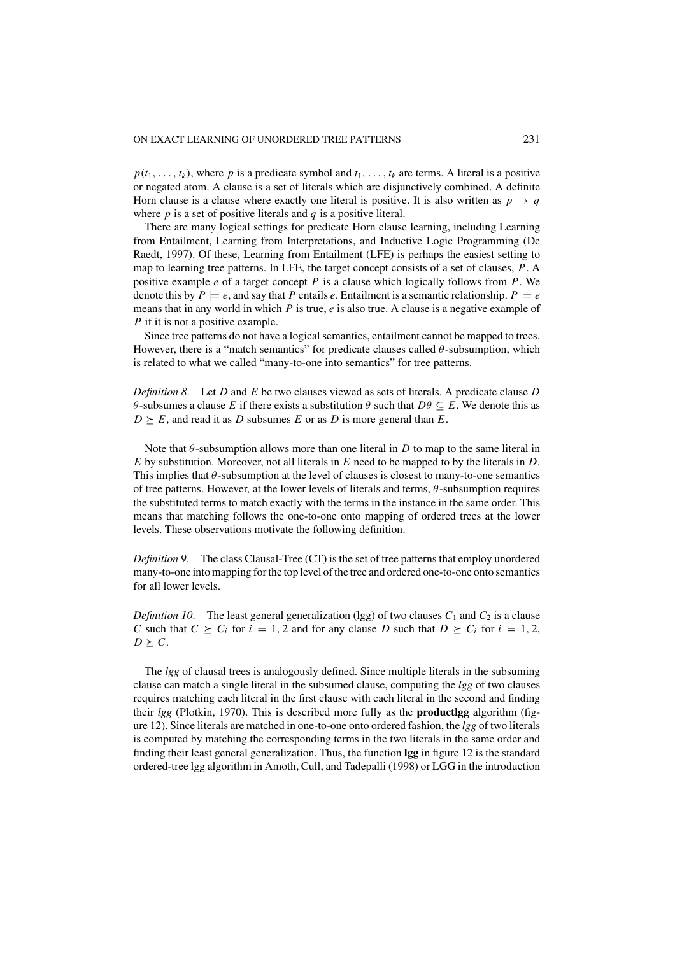$p(t_1, \ldots, t_k)$ , where *p* is a predicate symbol and  $t_1, \ldots, t_k$  are terms. A literal is a positive or negated atom. A clause is a set of literals which are disjunctively combined. A definite Horn clause is a clause where exactly one literal is positive. It is also written as  $p \rightarrow q$ where  $p$  is a set of positive literals and  $q$  is a positive literal.

There are many logical settings for predicate Horn clause learning, including Learning from Entailment, Learning from Interpretations, and Inductive Logic Programming (De Raedt, 1997). Of these, Learning from Entailment (LFE) is perhaps the easiest setting to map to learning tree patterns. In LFE, the target concept consists of a set of clauses, *P*. A positive example *e* of a target concept *P* is a clause which logically follows from *P*. We denote this by  $P \models e$ , and say that P entails e. Entailment is a semantic relationship.  $P \models e$ means that in any world in which *P* is true, *e* is also true. A clause is a negative example of *P* if it is not a positive example.

Since tree patterns do not have a logical semantics, entailment cannot be mapped to trees. However, there is a "match semantics" for predicate clauses called  $\theta$ -subsumption, which is related to what we called "many-to-one into semantics" for tree patterns.

*Definition 8*. Let *D* and *E* be two clauses viewed as sets of literals. A predicate clause *D* θ-subsumes a clause *E* if there exists a substitution θ such that *D*θ ⊆ *E*. We denote this as  $D \geq E$ , and read it as *D* subsumes *E* or as *D* is more general than *E*.

Note that  $\theta$ -subsumption allows more than one literal in *D* to map to the same literal in *E* by substitution. Moreover, not all literals in *E* need to be mapped to by the literals in *D*. This implies that  $\theta$ -subsumption at the level of clauses is closest to many-to-one semantics of tree patterns. However, at the lower levels of literals and terms,  $\theta$ -subsumption requires the substituted terms to match exactly with the terms in the instance in the same order. This means that matching follows the one-to-one onto mapping of ordered trees at the lower levels. These observations motivate the following definition.

*Definition 9*. The class Clausal-Tree (CT) is the set of tree patterns that employ unordered many-to-one into mapping for the top level of the tree and ordered one-to-one onto semantics for all lower levels.

*Definition 10.* The least general generalization (lgg) of two clauses  $C_1$  and  $C_2$  is a clause *C* such that  $C \geq C_i$  for  $i = 1, 2$  and for any clause *D* such that  $D \geq C_i$  for  $i = 1, 2$ ,  $D \succ C$ .

The *lgg* of clausal trees is analogously defined. Since multiple literals in the subsuming clause can match a single literal in the subsumed clause, computing the *lgg* of two clauses requires matching each literal in the first clause with each literal in the second and finding their *lgg* (Plotkin, 1970). This is described more fully as the **productlgg** algorithm (figure 12). Since literals are matched in one-to-one onto ordered fashion, the *lgg* of two literals is computed by matching the corresponding terms in the two literals in the same order and finding their least general generalization. Thus, the function **lgg** in figure 12 is the standard ordered-tree lgg algorithm in Amoth, Cull, and Tadepalli (1998) or LGG in the introduction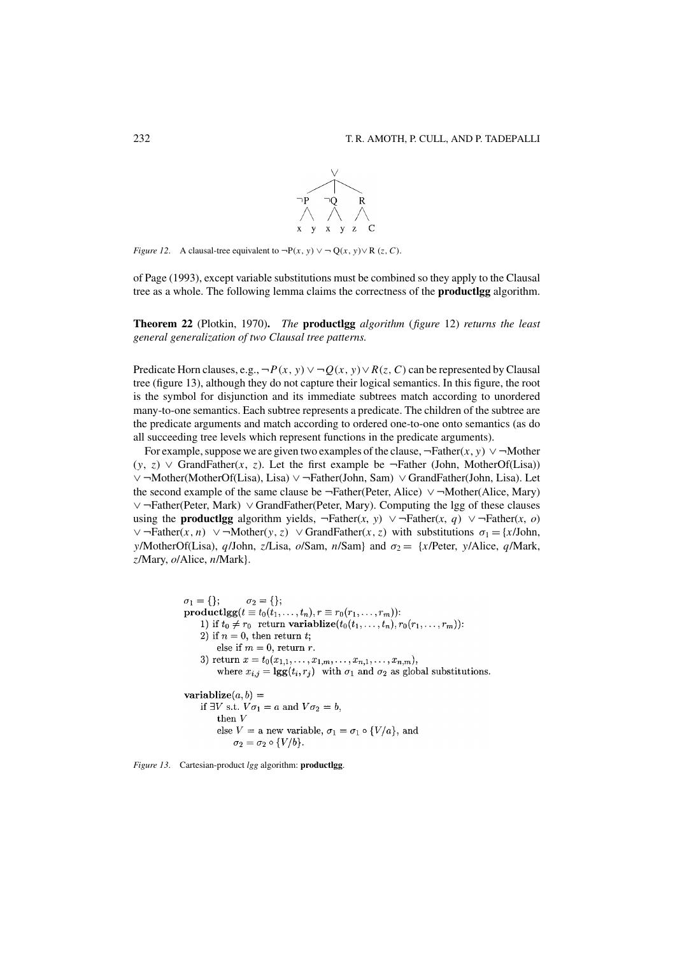

*Figure 12.* A clausal-tree equivalent to  $\neg P(x, y) \lor \neg Q(x, y) \lor R(z, C)$ .

of Page (1993), except variable substitutions must be combined so they apply to the Clausal tree as a whole. The following lemma claims the correctness of the **productlgg** algorithm.

**Theorem 22** (Plotkin, 1970)**.** *The* **productlgg** *algorithm* (*figure* 12) *returns the least general generalization of two Clausal tree patterns.*

Predicate Horn clauses, e.g.,  $\neg P(x, y) \lor \neg Q(x, y) \lor R(z, C)$  can be represented by Clausal tree (figure 13), although they do not capture their logical semantics. In this figure, the root is the symbol for disjunction and its immediate subtrees match according to unordered many-to-one semantics. Each subtree represents a predicate. The children of the subtree are the predicate arguments and match according to ordered one-to-one onto semantics (as do all succeeding tree levels which represent functions in the predicate arguments).

For example, suppose we are given two examples of the clause,  $\neg$ Father(*x*, *y*)  $\vee$   $\neg$ Mother (*y*, *z*) ∨ GrandFather(*x*, *z*). Let the first example be ¬Father (John, MotherOf(Lisa)) ∨ ¬Mother(MotherOf(Lisa), Lisa) ∨ ¬Father(John, Sam) ∨ GrandFather(John, Lisa). Let the second example of the same clause be ¬Father(Peter, Alice) ∨ ¬Mother(Alice, Mary) ∨ ¬Father(Peter, Mark) ∨ GrandFather(Peter, Mary). Computing the lgg of these clauses using the **productlgg** algorithm yields,  $\neg$ Father $(x, y) \lor \neg$ Father $(x, q) \lor \neg$ Father $(x, o)$  $∨$  ¬Father(*x*, *n*)  $∨$  ¬Mother(*y*, *z*)  $∨$  GrandFather(*x*, *z*) with substitutions  $σ_1 = {x/John}$ , *y*/MotherOf(Lisa), *q*/John, *z*/Lisa, *o*/Sam, *n*/Sam} and  $\sigma_2 = \{x$ /Peter, *y*/Alice, *q*/Mark, *z*/Mary, *o*/Alice, *n*/Mark}.

> $\sigma_1 = \{\};$  $\sigma_2 = \{\};$  $\textbf{product} \log(t \equiv t_0(t_1,\ldots,t_n), r \equiv r_0(r_1,\ldots,r_m))$ : 1) if  $t_0 \neq r_0$  return variablize $(t_0(t_1,\ldots,t_n),r_0(r_1,\ldots,r_m))$ : 2) if  $n = 0$ , then return t; else if  $m = 0$ , return r. 3) return  $x = t_0(x_{1,1},...,x_{1,m},...,x_{n,1},...,x_{n,m}),$ where  $x_{i,j} = \log(t_i, r_j)$  with  $\sigma_1$  and  $\sigma_2$  as global substitutions. variablize $(a, b)$  = if  $\exists V$  s.t.  $V\sigma_1 = a$  and  $V\sigma_2 = b$ , then  $V$ else  $V =$  a new variable,  $\sigma_1 = \sigma_1 \circ \{V/a\}$ , and  $\sigma_2 = \sigma_2 \circ \{V/b\}.$

*Figure 13*. Cartesian-product *lgg* algorithm: **productlgg**.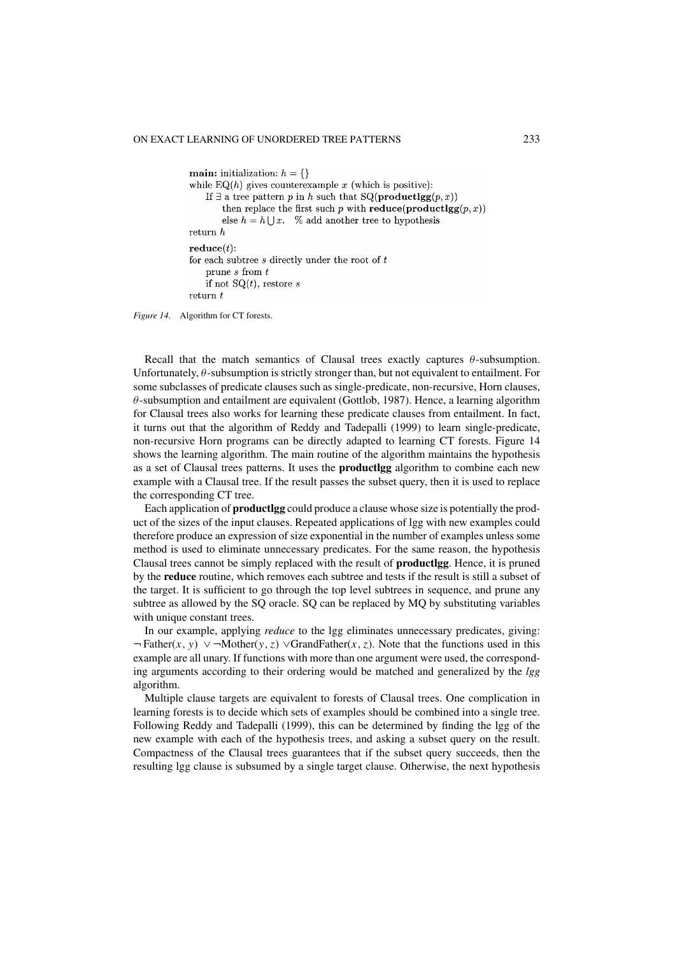#### ON EXACT LEARNING OF UNORDERED TREE PATTERNS 233

```
main: initialization: h = \{\}while EQ(h) gives counterexample x (which is positive):
    If \exists a tree pattern p in h such that SQ(product \lg g(p, x))then replace the first such p with reduce(productlgg(p, x))
       else h = h \cup x. % add another tree to hypothesis
return hreduce(t):
for each subtree s directly under the root of tprune s from tif not \mathrm{SQ}(t), restore s
return t
```
*Figure 14*. Algorithm for CT forests.

Recall that the match semantics of Clausal trees exactly captures  $\theta$ -subsumption. Unfortunately,  $\theta$ -subsumption is strictly stronger than, but not equivalent to entailment. For some subclasses of predicate clauses such as single-predicate, non-recursive, Horn clauses,  $\theta$ -subsumption and entailment are equivalent (Gottlob, 1987). Hence, a learning algorithm for Clausal trees also works for learning these predicate clauses from entailment. In fact, it turns out that the algorithm of Reddy and Tadepalli (1999) to learn single-predicate, non-recursive Horn programs can be directly adapted to learning CT forests. Figure 14 shows the learning algorithm. The main routine of the algorithm maintains the hypothesis as a set of Clausal trees patterns. It uses the **productlgg** algorithm to combine each new example with a Clausal tree. If the result passes the subset query, then it is used to replace the corresponding CT tree.

Each application of **productlgg** could produce a clause whose size is potentially the product of the sizes of the input clauses. Repeated applications of lgg with new examples could therefore produce an expression of size exponential in the number of examples unless some method is used to eliminate unnecessary predicates. For the same reason, the hypothesis Clausal trees cannot be simply replaced with the result of **productlgg**. Hence, it is pruned by the **reduce** routine, which removes each subtree and tests if the result is still a subset of the target. It is sufficient to go through the top level subtrees in sequence, and prune any subtree as allowed by the SQ oracle. SQ can be replaced by MQ by substituting variables with unique constant trees.

In our example, applying *reduce* to the lgg eliminates unnecessary predicates, giving: ¬ Father(*x*, *y*) ∨ ¬Mother(*y*,*z*) ∨GrandFather(*x*,*z*). Note that the functions used in this example are all unary. If functions with more than one argument were used, the corresponding arguments according to their ordering would be matched and generalized by the *lgg* algorithm.

Multiple clause targets are equivalent to forests of Clausal trees. One complication in learning forests is to decide which sets of examples should be combined into a single tree. Following Reddy and Tadepalli (1999), this can be determined by finding the lgg of the new example with each of the hypothesis trees, and asking a subset query on the result. Compactness of the Clausal trees guarantees that if the subset query succeeds, then the resulting lgg clause is subsumed by a single target clause. Otherwise, the next hypothesis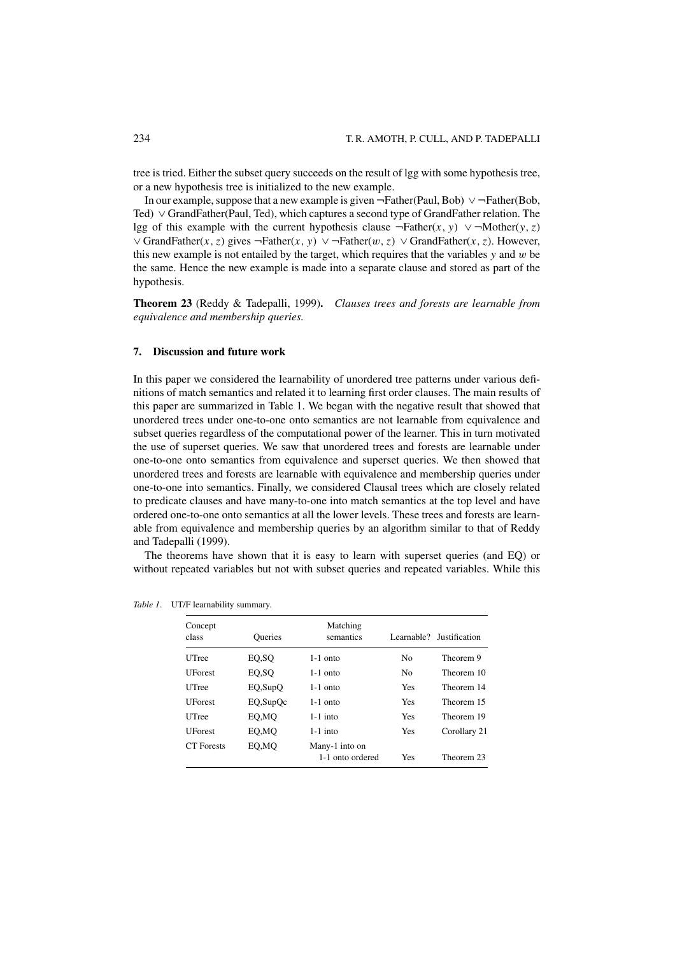tree is tried. Either the subset query succeeds on the result of lgg with some hypothesis tree, or a new hypothesis tree is initialized to the new example.

In our example, suppose that a new example is given ¬Father(Paul, Bob) ∨ ¬Father(Bob, Ted) ∨ GrandFather(Paul, Ted), which captures a second type of GrandFather relation. The lgg of this example with the current hypothesis clause  $\neg$ Father(*x*, *y*) ∨  $\neg$ Mother(*y*, *z*) ∨ GrandFather(*x*,*z*) gives ¬Father(*x*, *y*) ∨ ¬Father(w,*z*) ∨ GrandFather(*x*,*z*). However, this new example is not entailed by the target, which requires that the variables *y* and w be the same. Hence the new example is made into a separate clause and stored as part of the hypothesis.

**Theorem 23** (Reddy & Tadepalli, 1999)**.** *Clauses trees and forests are learnable from equivalence and membership queries.*

#### **7. Discussion and future work**

In this paper we considered the learnability of unordered tree patterns under various definitions of match semantics and related it to learning first order clauses. The main results of this paper are summarized in Table 1. We began with the negative result that showed that unordered trees under one-to-one onto semantics are not learnable from equivalence and subset queries regardless of the computational power of the learner. This in turn motivated the use of superset queries. We saw that unordered trees and forests are learnable under one-to-one onto semantics from equivalence and superset queries. We then showed that unordered trees and forests are learnable with equivalence and membership queries under one-to-one into semantics. Finally, we considered Clausal trees which are closely related to predicate clauses and have many-to-one into match semantics at the top level and have ordered one-to-one onto semantics at all the lower levels. These trees and forests are learnable from equivalence and membership queries by an algorithm similar to that of Reddy and Tadepalli (1999).

The theorems have shown that it is easy to learn with superset queries (and EQ) or without repeated variables but not with subset queries and repeated variables. While this

| Concept<br>class  | <b>Oueries</b> | Matching<br>semantics              |                | Learnable? Justification |
|-------------------|----------------|------------------------------------|----------------|--------------------------|
| UTree             | EQ,SQ          | $1-1$ onto                         | N <sub>0</sub> | Theorem 9                |
| <b>UForest</b>    | EQ, SQ         | $1-1$ onto                         | N <sub>0</sub> | Theorem 10               |
| UTree             | EQ, SupQ       | $1-1$ onto                         | Yes            | Theorem 14               |
| <b>UForest</b>    | $EQ$ , SupQc   | $1-1$ onto                         | Yes            | Theorem 15               |
| UTree             | EO,MO          | $1-1$ into                         | Yes            | Theorem 19               |
| <b>UForest</b>    | EQ,MQ          | $1-1$ into                         | <b>Yes</b>     | Corollary 21             |
| <b>CT</b> Forests | EO,MO          | Many-1 into on<br>1-1 onto ordered | Yes            | Theorem 23               |

*Table 1*. UT/F learnability summary.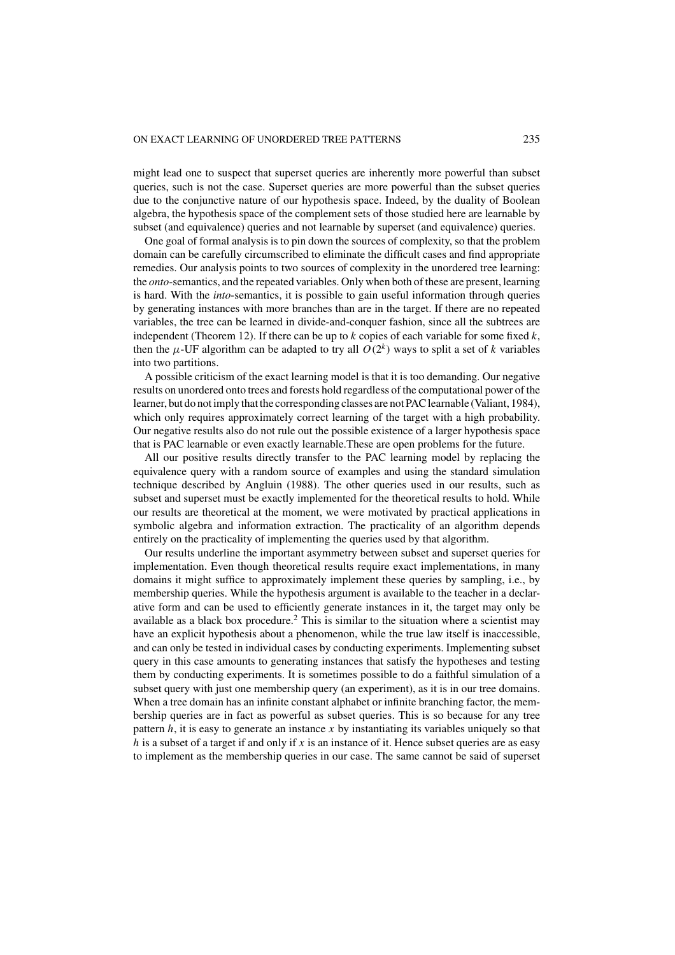might lead one to suspect that superset queries are inherently more powerful than subset queries, such is not the case. Superset queries are more powerful than the subset queries due to the conjunctive nature of our hypothesis space. Indeed, by the duality of Boolean algebra, the hypothesis space of the complement sets of those studied here are learnable by subset (and equivalence) queries and not learnable by superset (and equivalence) queries.

One goal of formal analysis is to pin down the sources of complexity, so that the problem domain can be carefully circumscribed to eliminate the difficult cases and find appropriate remedies. Our analysis points to two sources of complexity in the unordered tree learning: the *onto*-semantics, and the repeated variables. Only when both of these are present, learning is hard. With the *into*-semantics, it is possible to gain useful information through queries by generating instances with more branches than are in the target. If there are no repeated variables, the tree can be learned in divide-and-conquer fashion, since all the subtrees are independent (Theorem 12). If there can be up to  $k$  copies of each variable for some fixed  $k$ , then the  $\mu$ -UF algorithm can be adapted to try all  $O(2^k)$  ways to split a set of *k* variables into two partitions.

A possible criticism of the exact learning model is that it is too demanding. Our negative results on unordered onto trees and forests hold regardless of the computational power of the learner, but do not imply that the corresponding classes are not PAC learnable (Valiant, 1984), which only requires approximately correct learning of the target with a high probability. Our negative results also do not rule out the possible existence of a larger hypothesis space that is PAC learnable or even exactly learnable.These are open problems for the future.

All our positive results directly transfer to the PAC learning model by replacing the equivalence query with a random source of examples and using the standard simulation technique described by Angluin (1988). The other queries used in our results, such as subset and superset must be exactly implemented for the theoretical results to hold. While our results are theoretical at the moment, we were motivated by practical applications in symbolic algebra and information extraction. The practicality of an algorithm depends entirely on the practicality of implementing the queries used by that algorithm.

Our results underline the important asymmetry between subset and superset queries for implementation. Even though theoretical results require exact implementations, in many domains it might suffice to approximately implement these queries by sampling, i.e., by membership queries. While the hypothesis argument is available to the teacher in a declarative form and can be used to efficiently generate instances in it, the target may only be available as a black box procedure.<sup>2</sup> This is similar to the situation where a scientist may have an explicit hypothesis about a phenomenon, while the true law itself is inaccessible, and can only be tested in individual cases by conducting experiments. Implementing subset query in this case amounts to generating instances that satisfy the hypotheses and testing them by conducting experiments. It is sometimes possible to do a faithful simulation of a subset query with just one membership query (an experiment), as it is in our tree domains. When a tree domain has an infinite constant alphabet or infinite branching factor, the membership queries are in fact as powerful as subset queries. This is so because for any tree pattern  $h$ , it is easy to generate an instance  $x$  by instantiating its variables uniquely so that *h* is a subset of a target if and only if *x* is an instance of it. Hence subset queries are as easy to implement as the membership queries in our case. The same cannot be said of superset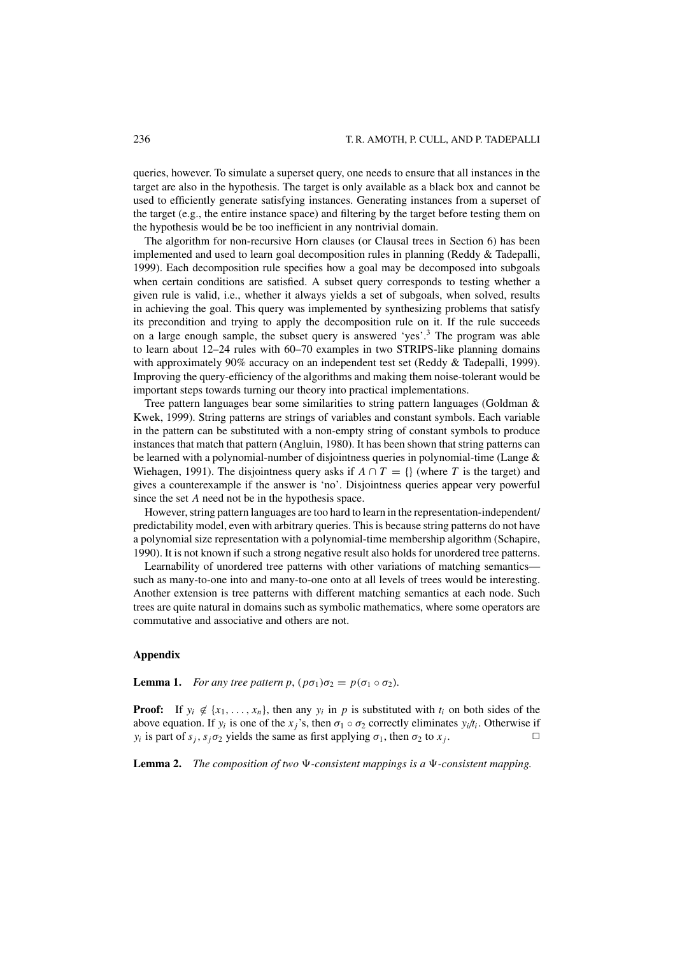queries, however. To simulate a superset query, one needs to ensure that all instances in the target are also in the hypothesis. The target is only available as a black box and cannot be used to efficiently generate satisfying instances. Generating instances from a superset of the target (e.g., the entire instance space) and filtering by the target before testing them on the hypothesis would be be too inefficient in any nontrivial domain.

The algorithm for non-recursive Horn clauses (or Clausal trees in Section 6) has been implemented and used to learn goal decomposition rules in planning (Reddy & Tadepalli, 1999). Each decomposition rule specifies how a goal may be decomposed into subgoals when certain conditions are satisfied. A subset query corresponds to testing whether a given rule is valid, i.e., whether it always yields a set of subgoals, when solved, results in achieving the goal. This query was implemented by synthesizing problems that satisfy its precondition and trying to apply the decomposition rule on it. If the rule succeeds on a large enough sample, the subset query is answered 'yes'. <sup>3</sup> The program was able to learn about 12–24 rules with 60–70 examples in two STRIPS-like planning domains with approximately 90% accuracy on an independent test set (Reddy & Tadepalli, 1999). Improving the query-efficiency of the algorithms and making them noise-tolerant would be important steps towards turning our theory into practical implementations.

Tree pattern languages bear some similarities to string pattern languages (Goldman & Kwek, 1999). String patterns are strings of variables and constant symbols. Each variable in the pattern can be substituted with a non-empty string of constant symbols to produce instances that match that pattern (Angluin, 1980). It has been shown that string patterns can be learned with a polynomial-number of disjointness queries in polynomial-time (Lange & Wiehagen, 1991). The disjointness query asks if  $A \cap T = \{ \}$  (where *T* is the target) and gives a counterexample if the answer is 'no'. Disjointness queries appear very powerful since the set *A* need not be in the hypothesis space.

However, string pattern languages are too hard to learn in the representation-independent/ predictability model, even with arbitrary queries. This is because string patterns do not have a polynomial size representation with a polynomial-time membership algorithm (Schapire, 1990). It is not known if such a strong negative result also holds for unordered tree patterns.

Learnability of unordered tree patterns with other variations of matching semantics such as many-to-one into and many-to-one onto at all levels of trees would be interesting. Another extension is tree patterns with different matching semantics at each node. Such trees are quite natural in domains such as symbolic mathematics, where some operators are commutative and associative and others are not.

#### **Appendix**

**Lemma 1.** *For any tree pattern p*,  $(p\sigma_1)\sigma_2 = p(\sigma_1 \circ \sigma_2)$ *.* 

**Proof:** If  $y_i \notin \{x_1, \ldots, x_n\}$ , then any  $y_i$  in *p* is substituted with  $t_i$  on both sides of the above equation. If  $y_i$  is one of the  $x_j$ 's, then  $\sigma_1 \circ \sigma_2$  correctly eliminates  $y_i/t_i$ . Otherwise if *y<sub>i</sub>* is part of  $s_j$ ,  $s_j \sigma_2$  yields the same as first applying  $\sigma_1$ , then  $\sigma_2$  to  $x_j$ .

**Lemma 2.** *The composition of two*  $\Psi$ -consistent mappings is a  $\Psi$ -consistent mapping.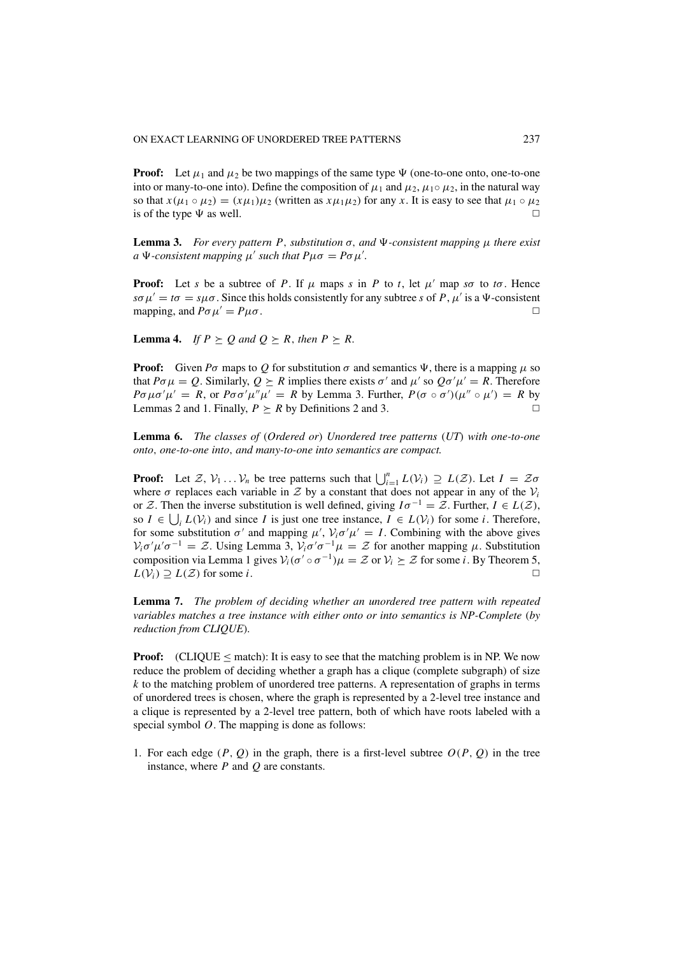**Proof:** Let  $\mu_1$  and  $\mu_2$  be two mappings of the same type  $\Psi$  (one-to-one onto, one-to-one into or many-to-one into). Define the composition of  $\mu_1$  and  $\mu_2$ ,  $\mu_1 \circ \mu_2$ , in the natural way so that  $x(\mu_1 \circ \mu_2) = (x\mu_1)\mu_2$  (written as  $x\mu_1\mu_2$ ) for any *x*. It is easy to see that  $\mu_1 \circ \mu_2$ is of the type  $\Psi$  as well.

**Lemma 3.** *For every pattern P, substitution*  $\sigma$ *, and*  $Ψ$ -consistent mapping  $\mu$  there exist  $a \Psi$ -consistent mapping  $\mu'$  such that  $P \mu \sigma = P \sigma \mu'.$ 

**Proof:** Let *s* be a subtree of *P*. If  $\mu$  maps *s* in *P* to *t*, let  $\mu'$  map *s*σ to *t*σ. Hence  $s\sigma\mu' = t\sigma = s\mu\sigma$ . Since this holds consistently for any subtree *s* of *P*,  $\mu'$  is a  $\Psi$ -consistent mapping, and  $P\sigma\mu' = P\mu\sigma$ .

**Lemma 4.** *If*  $P \ge Q$  *and*  $Q \ge R$ *, then*  $P \ge R$ *.* 

**Proof:** Given  $P\sigma$  maps to Q for substitution  $\sigma$  and semantics  $\Psi$ , there is a mapping  $\mu$  so that  $P\sigma\mu = Q$ . Similarly,  $Q \succeq R$  implies there exists  $\sigma'$  and  $\mu'$  so  $Q\sigma'\mu' = R$ . Therefore  $P\sigma\mu\sigma'\mu' = R$ , or  $P\sigma\sigma'\mu''\mu' = R$  by Lemma 3. Further,  $P(\sigma \circ \sigma')(\mu'' \circ \mu') = R$  by Lemmas 2 and 1. Finally,  $P \ge R$  by Definitions 2 and 3.

**Lemma 6.** *The classes of* (*Ordered or*) *Unordered tree patterns* (*UT*) *with one-to-one onto*, *one-to-one into*, *and many-to-one into semantics are compact.*

**Proof:** Let  $\mathcal{Z}, \mathcal{V}_1 \dots \mathcal{V}_n$  be tree patterns such that  $\bigcup_{i=1}^n L(\mathcal{V}_i) \supseteq L(\mathcal{Z})$ . Let  $I = \mathcal{Z}\sigma$ where  $\sigma$  replaces each variable in  $\mathcal Z$  by a constant that does not appear in any of the  $\mathcal V_i$ or Z. Then the inverse substitution is well defined, giving  $I\sigma^{-1} = \mathcal{Z}$ . Further,  $I \in L(\mathcal{Z})$ , so  $I \in \bigcup_i L(V_i)$  and since *I* is just one tree instance,  $I \in L(V_i)$  for some *i*. Therefore, for some substitution  $\sigma'$  and mapping  $\mu'$ ,  $\mathcal{V}_i \sigma' \mu' = I$ . Combining with the above gives  $V_i \sigma' \mu' \sigma^{-1} = \mathcal{Z}$ . Using Lemma 3,  $V_i \sigma' \sigma^{-1} \mu = \mathcal{Z}$  for another mapping  $\mu$ . Substitution composition via Lemma 1 gives  $V_i(\sigma' \circ \sigma^{-1})\mu = \mathcal{Z}$  or  $V_i \succeq \mathcal{Z}$  for some *i*. By Theorem 5,  $L(V_i) \supseteq L(\mathcal{Z})$  for some *i*.

**Lemma 7.** *The problem of deciding whether an unordered tree pattern with repeated variables matches a tree instance with either onto or into semantics is NP-Complete* (*by reduction from CLIQUE*)*.*

**Proof:** (CLIQUE  $\leq$  match): It is easy to see that the matching problem is in NP. We now reduce the problem of deciding whether a graph has a clique (complete subgraph) of size *k* to the matching problem of unordered tree patterns. A representation of graphs in terms of unordered trees is chosen, where the graph is represented by a 2-level tree instance and a clique is represented by a 2-level tree pattern, both of which have roots labeled with a special symbol *O*. The mapping is done as follows:

1. For each edge  $(P, Q)$  in the graph, there is a first-level subtree  $O(P, Q)$  in the tree instance, where *P* and *Q* are constants.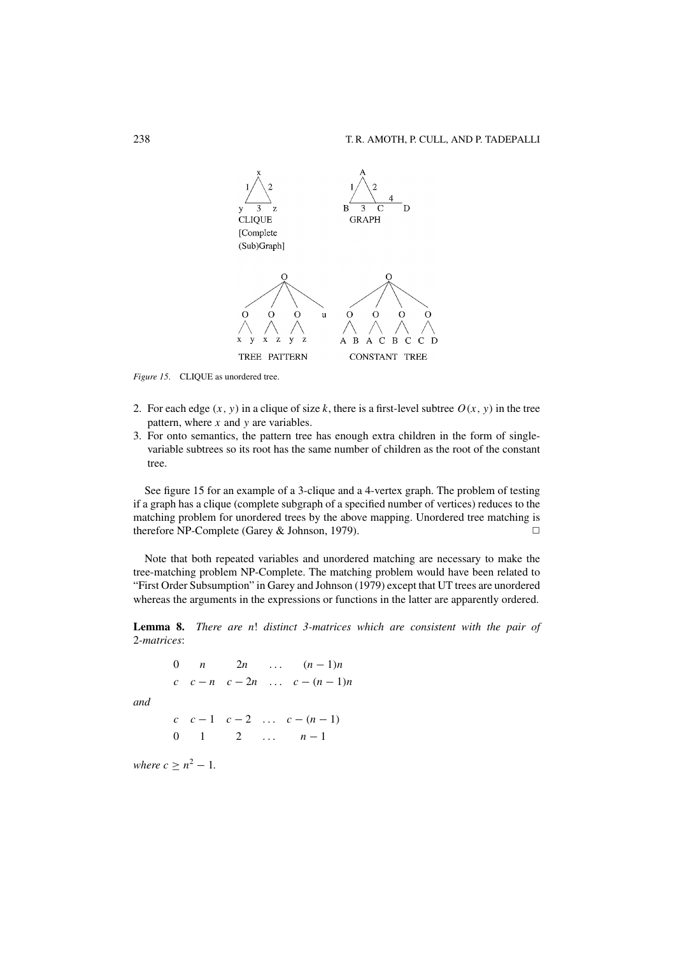

*Figure 15*. CLIQUE as unordered tree.

- 2. For each edge  $(x, y)$  in a clique of size k, there is a first-level subtree  $O(x, y)$  in the tree pattern, where *x* and *y* are variables.
- 3. For onto semantics, the pattern tree has enough extra children in the form of singlevariable subtrees so its root has the same number of children as the root of the constant tree.

See figure 15 for an example of a 3-clique and a 4-vertex graph. The problem of testing if a graph has a clique (complete subgraph of a specified number of vertices) reduces to the matching problem for unordered trees by the above mapping. Unordered tree matching is therefore NP-Complete (Garey  $\&$  Johnson, 1979).  $\Box$ 

Note that both repeated variables and unordered matching are necessary to make the tree-matching problem NP-Complete. The matching problem would have been related to "First Order Subsumption" in Garey and Johnson (1979) except that UT trees are unordered whereas the arguments in the expressions or functions in the latter are apparently ordered.

**Lemma 8.** *There are n*! *distinct 3-matrices which are consistent with the pair of* 2*-matrices*:

0 *n* 2*n* ... (*n* − 1)*n c c* − *n c* − 2*n* ... *c* − (*n* − 1)*n and c c* − 1 *c* − 2 ... *c* − (*n* − 1) 01 2 ... *n* − 1

*where*  $c \geq n^2 - 1$ *.*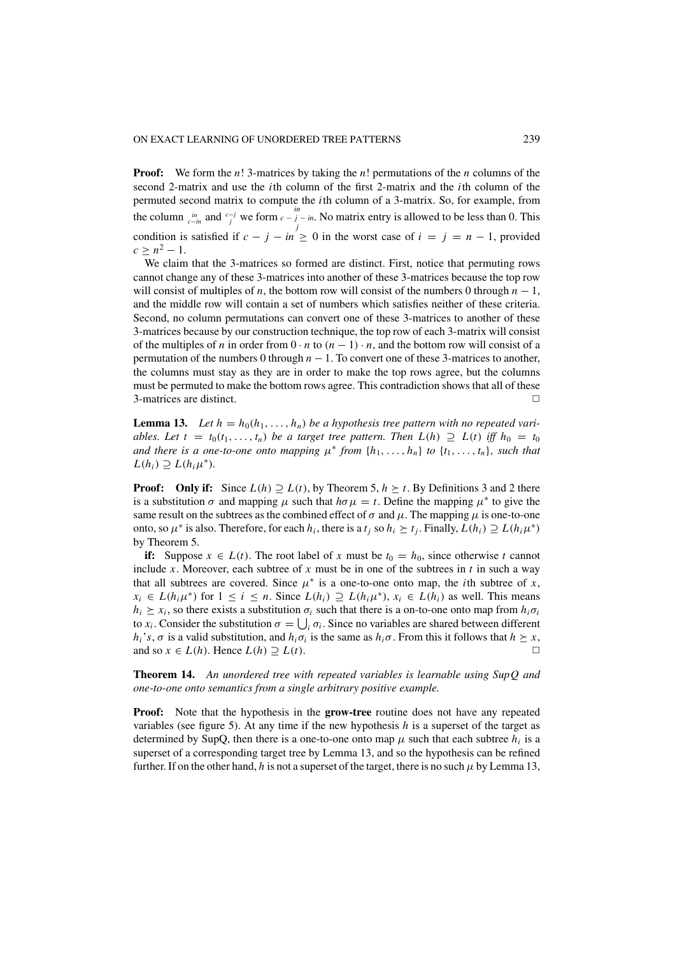**Proof:** We form the *n*! 3-matrices by taking the *n*! permutations of the *n* columns of the second 2-matrix and use the *i*th column of the first 2-matrix and the *i*th column of the permuted second matrix to compute the *i*th column of a 3-matrix. So, for example, from the column  $\lim_{c \to in}$  and  $\lim_{c \to j}$  we form  $c - j - in$ . No matrix entry is allowed to be less than 0. This condition is satisfied if  $c - j - in \geq 0$  in the worst case of  $i = j = n - 1$ , provided  $c > n^2 - 1$ .

We claim that the 3-matrices so formed are distinct. First, notice that permuting rows cannot change any of these 3-matrices into another of these 3-matrices because the top row will consist of multiples of *n*, the bottom row will consist of the numbers 0 through  $n - 1$ , and the middle row will contain a set of numbers which satisfies neither of these criteria. Second, no column permutations can convert one of these 3-matrices to another of these 3-matrices because by our construction technique, the top row of each 3-matrix will consist of the multiples of *n* in order from  $0 \cdot n$  to  $(n - 1) \cdot n$ , and the bottom row will consist of a permutation of the numbers 0 through *n* − 1. To convert one of these 3-matrices to another, the columns must stay as they are in order to make the top rows agree, but the columns must be permuted to make the bottom rows agree. This contradiction shows that all of these 3-matrices are distinct.

**Lemma 13.** Let  $h = h_0(h_1, \ldots, h_n)$  be a hypothesis tree pattern with no repeated vari*ables. Let*  $t = t_0(t_1, \ldots, t_n)$  *be a target tree pattern. Then*  $L(h) \supseteq L(t)$  *iff*  $h_0 = t_0$ *and there is a one-to-one onto mapping*  $\mu^*$  *from*  $\{h_1, \ldots, h_n\}$  *to*  $\{t_1, \ldots, t_n\}$ *, such that*  $L(h_i) \supseteq L(h_i \mu^*).$ 

**Proof:** Only if: Since  $L(h) \supseteq L(t)$ , by Theorem 5,  $h \geq t$ . By Definitions 3 and 2 there is a substitution  $\sigma$  and mapping  $\mu$  such that  $h\sigma\mu = t$ . Define the mapping  $\mu^*$  to give the same result on the subtrees as the combined effect of  $\sigma$  and  $\mu$ . The mapping  $\mu$  is one-to-one onto, so  $\mu^*$  is also. Therefore, for each  $h_i$ , there is a  $t_i$  so  $h_i \ge t_i$ . Finally,  $L(h_i) \supseteq L(h_i \mu^*)$ by Theorem 5.

**if:** Suppose *x* ∈ *L*(*t*). The root label of *x* must be  $t_0 = h_0$ , since otherwise *t* cannot include *x*. Moreover, each subtree of *x* must be in one of the subtrees in *t* in such a way that all subtrees are covered. Since  $\mu^*$  is a one-to-one onto map, the *i*th subtree of *x*, *x<sub>i</sub>* ∈ *L*(*h<sub>i</sub>*µ<sup>\*</sup>) for  $1 \le i \le n$ . Since  $L(h_i) \supseteq L(h_i)$ <sup>\*</sup>,  $x_i \in L(h_i)$  as well. This means  $h_i \geq x_i$ , so there exists a substitution  $\sigma_i$  such that there is a on-to-one onto map from  $h_i \sigma_i$ to *x<sub>i</sub>*. Consider the substitution  $\sigma = \bigcup_i \sigma_i$ . Since no variables are shared between different *h<sub>i</sub>*'*s*,  $\sigma$  is a valid substitution, and *h<sub>i</sub>* $\sigma$ *i* is the same as *h<sub>i</sub>* $\sigma$ . From this it follows that  $h \ge x$ , and so  $x \in L(h)$ . Hence  $L(h) \supseteq L(t)$ .

**Theorem 14.** *An unordered tree with repeated variables is learnable using SupQ and one-to-one onto semantics from a single arbitrary positive example.*

**Proof:** Note that the hypothesis in the **grow-tree** routine does not have any repeated variables (see figure 5). At any time if the new hypothesis *h* is a superset of the target as determined by SupQ, then there is a one-to-one onto map  $\mu$  such that each subtree  $h_i$  is a superset of a corresponding target tree by Lemma 13, and so the hypothesis can be refined further. If on the other hand, h is not a superset of the target, there is no such  $\mu$  by Lemma 13,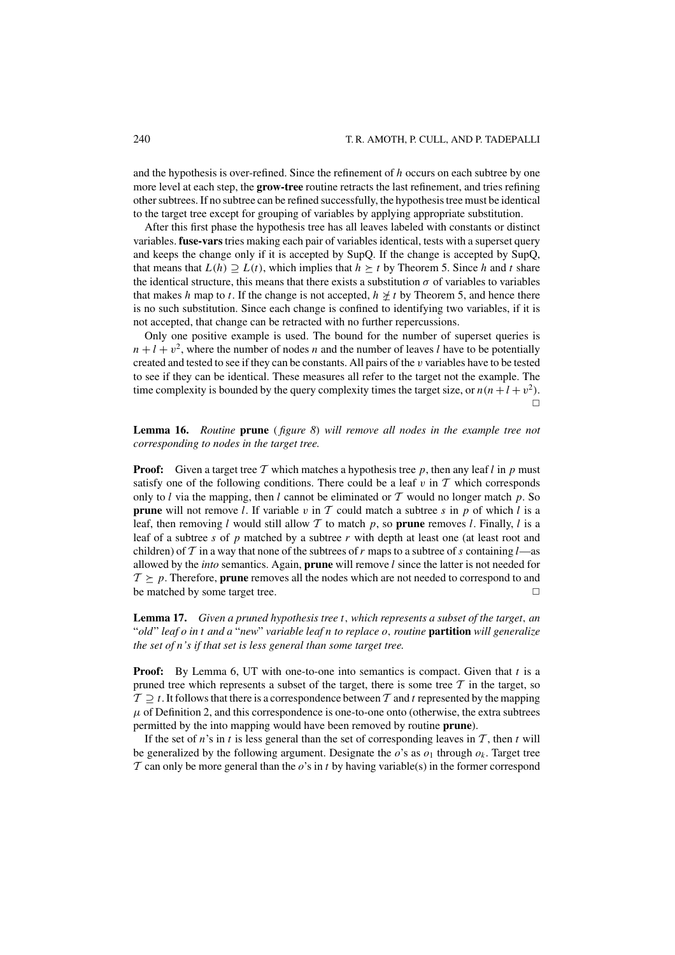and the hypothesis is over-refined. Since the refinement of *h* occurs on each subtree by one more level at each step, the **grow-tree** routine retracts the last refinement, and tries refining other subtrees. If no subtree can be refined successfully, the hypothesis tree must be identical to the target tree except for grouping of variables by applying appropriate substitution.

After this first phase the hypothesis tree has all leaves labeled with constants or distinct variables. **fuse-vars**tries making each pair of variables identical, tests with a superset query and keeps the change only if it is accepted by SupQ. If the change is accepted by SupQ, that means that  $L(h) \supseteq L(t)$ , which implies that  $h \geq t$  by Theorem 5. Since h and t share the identical structure, this means that there exists a substitution  $\sigma$  of variables to variables that makes *h* map to *t*. If the change is not accepted,  $h \neq t$  by Theorem 5, and hence there is no such substitution. Since each change is confined to identifying two variables, if it is not accepted, that change can be retracted with no further repercussions.

Only one positive example is used. The bound for the number of superset queries is  $n + l + v<sup>2</sup>$ , where the number of nodes *n* and the number of leaves *l* have to be potentially created and tested to see if they can be constants. All pairs of the  $v$  variables have to be tested to see if they can be identical. These measures all refer to the target not the example. The time complexity is bounded by the query complexity times the target size, or  $n(n+l+v^2)$ .  $\Box$ 

**Lemma 16.** *Routine* **prune** ( *figure 8*) *will remove all nodes in the example tree not corresponding to nodes in the target tree.*

**Proof:** Given a target tree T which matches a hypothesis tree p, then any leaf l in p must satisfy one of the following conditions. There could be a leaf v in  $T$  which corresponds only to *l* via the mapping, then *l* cannot be eliminated or  $T$  would no longer match  $p$ . So **prune** will not remove *l*. If variable v in T could match a subtree s in p of which *l* is a leaf, then removing *l* would still allow  $T$  to match  $p$ , so **prune** removes *l*. Finally, *l* is a leaf of a subtree *s* of *p* matched by a subtree *r* with depth at least one (at least root and children) of  $T$  in a way that none of the subtrees of  $r$  maps to a subtree of  $s$  containing *l*—as allowed by the *into* semantics. Again, **prune** will remove *l* since the latter is not needed for  $T \ge p$ . Therefore, **prune** removes all the nodes which are not needed to correspond to and be matched by some target tree. be matched by some target tree.

**Lemma 17.** *Given a pruned hypothesis tree t*, *which represents a subset of the target*, *an* "*old*" *leaf o in t and a* "*new*" *variable leaf n to replace o*, *routine* **partition** *will generalize the set of n's if that set is less general than some target tree.*

**Proof:** By Lemma 6, UT with one-to-one into semantics is compact. Given that *t* is a pruned tree which represents a subset of the target, there is some tree  $T$  in the target, so  $\mathcal{T} \supseteq t$ . It follows that there is a correspondence between  $\mathcal{T}$  and t represented by the mapping  $\mu$  of Definition 2, and this correspondence is one-to-one onto (otherwise, the extra subtrees permitted by the into mapping would have been removed by routine **prune**).

If the set of  $n$ 's in  $t$  is less general than the set of corresponding leaves in  $T$ , then  $t$  will be generalized by the following argument. Designate the *o*'s as  $o_1$  through  $o_k$ . Target tree T can only be more general than the *o*'s in *t* by having variable(s) in the former correspond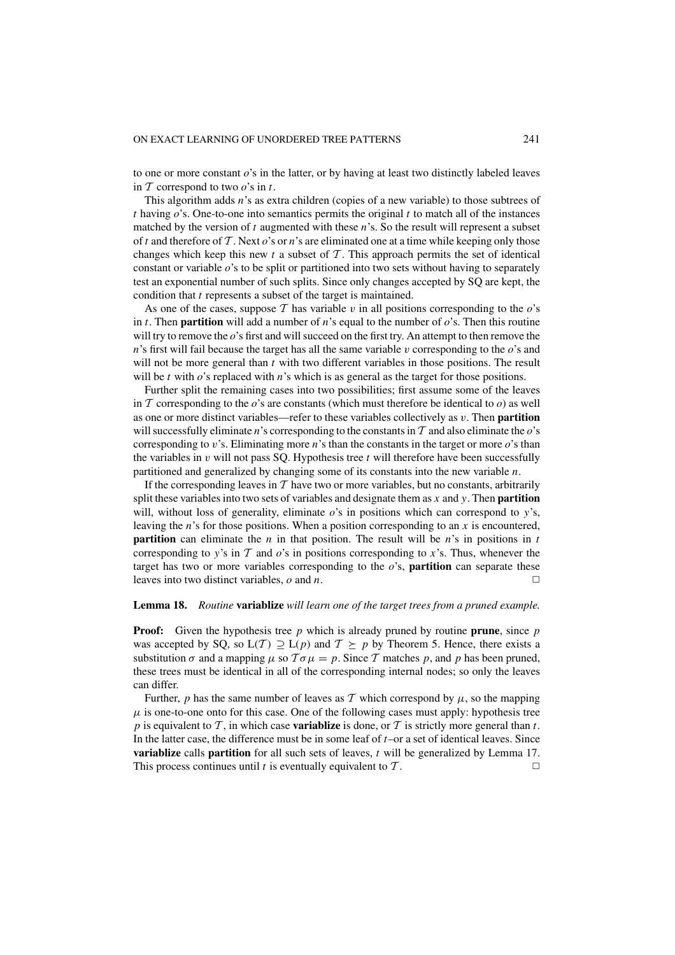to one or more constant  $\sigma$ 's in the latter, or by having at least two distinctly labeled leaves in  $T$  correspond to two  $\rho$ 's in *t*.

This algorithm adds *n*'s as extra children (copies of a new variable) to those subtrees of *t* having *o*'s. One-to-one into semantics permits the original *t* to match all of the instances matched by the version of *t* augmented with these *n*'s. So the result will represent a subset of *t* and therefore of T . Next *o*'s or *n*'s are eliminated one at a time while keeping only those changes which keep this new  $t$  a subset of  $\mathcal T$ . This approach permits the set of identical constant or variable *o*'s to be split or partitioned into two sets without having to separately test an exponential number of such splits. Since only changes accepted by SQ are kept, the condition that *t* represents a subset of the target is maintained.

As one of the cases, suppose T has variable v in all positions corresponding to the  $\rho$ 's in *t*. Then **partition** will add a number of *n*'s equal to the number of  $o$ 's. Then this routine will try to remove the *o*'s first and will succeed on the first try. An attempt to then remove the *n*'s first will fail because the target has all the same variable v corresponding to the *o*'s and will not be more general than *t* with two different variables in those positions. The result will be *t* with *o*'s replaced with *n*'s which is as general as the target for those positions.

Further split the remaining cases into two possibilities; first assume some of the leaves in  $\mathcal T$  corresponding to the  $o$ 's are constants (which must therefore be identical to  $o$ ) as well as one or more distinct variables—refer to these variables collectively as v. Then **partition** will successfully eliminate *n*'s corresponding to the constants in  $T$  and also eliminate the  $\rho$ 's corresponding to  $v$ 's. Eliminating more  $n$ 's than the constants in the target or more  $o$ 's than the variables in  $v$  will not pass SO. Hypothesis tree  $t$  will therefore have been successfully partitioned and generalized by changing some of its constants into the new variable *n*.

If the corresponding leaves in  $T$  have two or more variables, but no constants, arbitrarily split these variables into two sets of variables and designate them as *x* and *y*. Then **partition** will, without loss of generality, eliminate *o*'s in positions which can correspond to *y*'s, leaving the *n*'s for those positions. When a position corresponding to an *x* is encountered, **partition** can eliminate the *n* in that position. The result will be *n*'s in positions in *t* corresponding to *y*'s in  $T$  and  $o$ 's in positions corresponding to *x*'s. Thus, whenever the target has two or more variables corresponding to the  $\alpha$ 's, **partition** can separate these leaves into two distinct variables,  $\rho$  and  $n$ .

# **Lemma 18.** *Routine* **variablize** *will learn one of the target trees from a pruned example.*

**Proof:** Given the hypothesis tree *p* which is already pruned by routine **prune**, since *p* was accepted by SQ, so  $L(T) \supseteq L(p)$  and  $T \succeq p$  by Theorem 5. Hence, there exists a substitution  $\sigma$  and a mapping  $\mu$  so  $\mathcal{T}\sigma\mu = p$ . Since T matches p, and p has been pruned, these trees must be identical in all of the corresponding internal nodes; so only the leaves can differ.

Further, *p* has the same number of leaves as T which correspond by  $\mu$ , so the mapping  $\mu$  is one-to-one onto for this case. One of the following cases must apply: hypothesis tree  $p$  is equivalent to  $\mathcal{T}$ , in which case **variablize** is done, or  $\mathcal{T}$  is strictly more general than  $t$ . In the latter case, the difference must be in some leaf of *t*–or a set of identical leaves. Since **variablize** calls **partition** for all such sets of leaves, *t* will be generalized by Lemma 17. This process continues until *t* is eventually equivalent to  $T$ .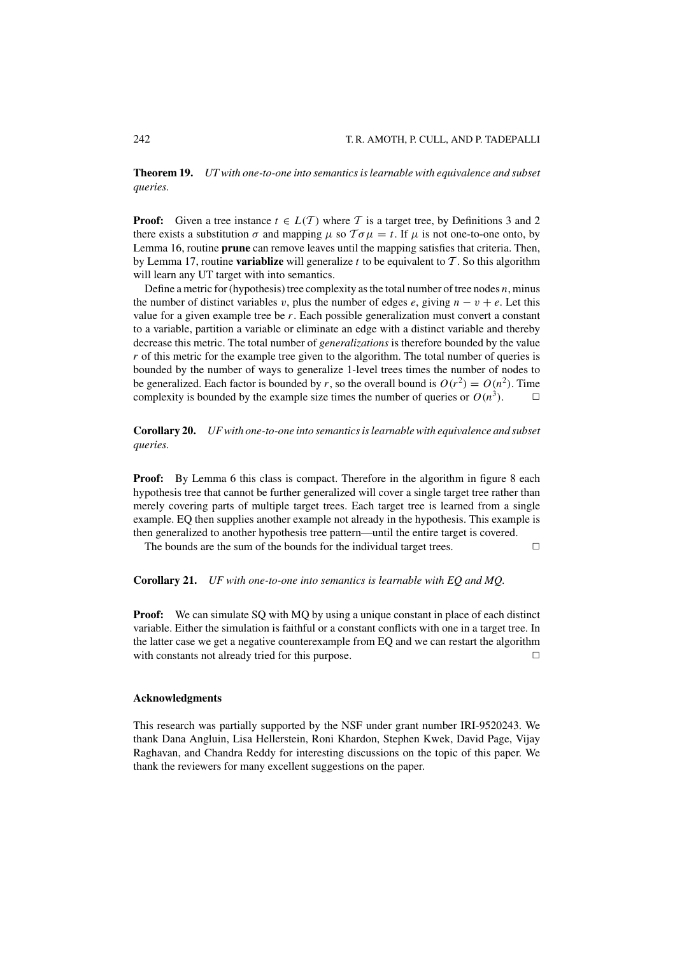**Theorem 19.** *UT with one-to-one into semantics is learnable with equivalence and subset queries.*

**Proof:** Given a tree instance  $t \in L(T)$  where T is a target tree, by Definitions 3 and 2 there exists a substitution  $\sigma$  and mapping  $\mu$  so  $\mathcal{T} \sigma \mu = t$ . If  $\mu$  is not one-to-one onto, by Lemma 16, routine **prune** can remove leaves until the mapping satisfies that criteria. Then, by Lemma 17, routine **variablize** will generalize  $t$  to be equivalent to  $T$ . So this algorithm will learn any UT target with into semantics.

Define a metric for (hypothesis) tree complexity as the total number of tree nodes *n*, minus the number of distinct variables v, plus the number of edges e, giving  $n - v + e$ . Let this value for a given example tree be *r*. Each possible generalization must convert a constant to a variable, partition a variable or eliminate an edge with a distinct variable and thereby decrease this metric. The total number of *generalizations* is therefore bounded by the value *r* of this metric for the example tree given to the algorithm. The total number of queries is bounded by the number of ways to generalize 1-level trees times the number of nodes to be generalized. Each factor is bounded by *r*, so the overall bound is  $O(r^2) = O(n^2)$ . Time complexity is bounded by the example size times the number of queries or  $O(n^3)$ .  $\Box$ 

**Corollary 20.** *UF with one-to-one into semantics is learnable with equivalence and subset queries.*

**Proof:** By Lemma 6 this class is compact. Therefore in the algorithm in figure 8 each hypothesis tree that cannot be further generalized will cover a single target tree rather than merely covering parts of multiple target trees. Each target tree is learned from a single example. EQ then supplies another example not already in the hypothesis. This example is then generalized to another hypothesis tree pattern—until the entire target is covered.

The bounds are the sum of the bounds for the individual target trees.  $\Box$ 

# **Corollary 21.** *UF with one-to-one into semantics is learnable with EQ and MQ.*

**Proof:** We can simulate SQ with MQ by using a unique constant in place of each distinct variable. Either the simulation is faithful or a constant conflicts with one in a target tree. In the latter case we get a negative counterexample from EQ and we can restart the algorithm with constants not already tried for this purpose.  $\Box$ 

#### **Acknowledgments**

This research was partially supported by the NSF under grant number IRI-9520243. We thank Dana Angluin, Lisa Hellerstein, Roni Khardon, Stephen Kwek, David Page, Vijay Raghavan, and Chandra Reddy for interesting discussions on the topic of this paper. We thank the reviewers for many excellent suggestions on the paper.